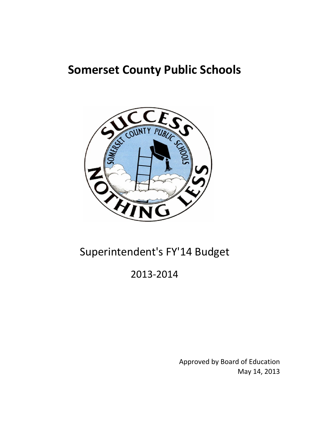# **Somerset County Public Schools**



# Superintendent's FY'14 Budget

# 2013‐2014

May 14, 2013 Approved by Board of Education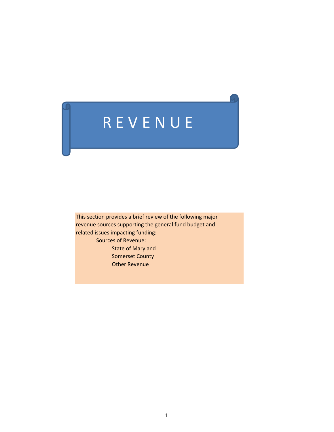# R E V E N U E

This section provides a brief review of the following major revenue sources supporting the general fund budget and related issues impacting funding: Sources of Revenue: State of Maryland Somerset County Other Revenue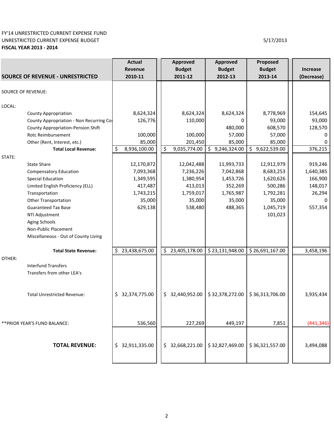### FY'14 UNRESTRICTED CURRENT EXPENSE FUND UNRESTRICTED CURRENT EXPENSE BUDGET **FISCAL YEAR 2013 ‐ 2014**

|                                           | <b>Actual</b>      | Approved            | Approved        | Proposed           |            |
|-------------------------------------------|--------------------|---------------------|-----------------|--------------------|------------|
|                                           | <b>Revenue</b>     | <b>Budget</b>       | <b>Budget</b>   | <b>Budget</b>      | Increase   |
| <b>SOURCE OF REVENUE - UNRESTRICTED</b>   | 2010-11            | 2011-12             | 2012-13         | 2013-14            | (Decrease) |
| <b>SOURCE OF REVENUE:</b>                 |                    |                     |                 |                    |            |
| LOCAL:                                    |                    |                     |                 |                    |            |
| <b>County Appropriation</b>               | 8,624,324          | 8,624,324           | 8,624,324       | 8,778,969          | 154,645    |
| County Appropriation - Non Recurring Cos  | 126,776            | 110,000             | 0               | 93,000             | 93,000     |
| <b>County Appropriation-Pension Shift</b> |                    |                     | 480,000         | 608,570            | 128,570    |
| Rotc Reimbursement                        | 100,000            | 100,000             | 57,000          | 57,000             | 0          |
| Other (Rent, Interest, etc.)              | 85,000             | 201,450             | 85,000          | 85,000             |            |
| <b>Total Local Revenue:</b>               | 8,936,100.00<br>\$ | \$<br>9,035,774.00  | \$9,246,324.00  | \$<br>9,622,539.00 | 376,215    |
| STATE:                                    |                    |                     |                 |                    |            |
| <b>State Share</b>                        | 12,170,872         | 12,042,488          | 11,993,733      | 12,912,979         | 919,246    |
| <b>Compensatory Education</b>             | 7,093,368          | 7,236,226           | 7,042,868       | 8,683,253          | 1,640,385  |
| <b>Special Education</b>                  | 1,349,595          | 1,380,954           | 1,453,726       | 1,620,626          | 166,900    |
| Limited English Proficiency (ELL)         | 417,487            | 413,013             | 352,269         | 500,286            | 148,017    |
| Transportation                            | 1,743,215          | 1,759,017           | 1,765,987       | 1,792,281          | 26,294     |
| <b>Other Transportation</b>               | 35,000             | 35,000              | 35,000          | 35,000             |            |
| <b>Guaranteed Tax Base</b>                | 629,138            | 538,480             | 488,365         | 1,045,719          | 557,354    |
| NTI Adjustment                            |                    |                     |                 | 101,023            |            |
| Aging Schools                             |                    |                     |                 |                    |            |
| Non-Public Placement                      |                    |                     |                 |                    |            |
| Miscellaneous - Out of County Living      |                    |                     |                 |                    |            |
| <b>Total State Revenue:</b>               | \$23,438,675.00    | \$23,405,178.00     | \$23,131,948.00 | \$26,691,167.00    | 3,458,196  |
| OTHER:                                    |                    |                     |                 |                    |            |
| <b>Interfund Transfers</b>                |                    |                     |                 |                    |            |
| Transfers from other LEA's                |                    |                     |                 |                    |            |
|                                           |                    |                     |                 |                    |            |
| <b>Total Unrestricted Revenue:</b>        | \$32,374,775.00    | \$32,440,952.00     | \$32,378,272.00 | \$36,313,706.00    | 3,935,434  |
|                                           |                    |                     |                 |                    |            |
|                                           |                    |                     |                 |                    |            |
| ** PRIOR YEAR'S FUND BALANCE:             | 536,560            | 227,269             | 449,197         | 7,851              | (441, 346) |
|                                           |                    |                     |                 |                    |            |
|                                           |                    |                     |                 |                    |            |
| <b>TOTAL REVENUE:</b>                     | \$32,911,335.00    | 32,668,221.00<br>\$ | \$32,827,469.00 | \$36,321,557.00    | 3,494,088  |
|                                           |                    |                     |                 |                    |            |
|                                           |                    |                     |                 |                    |            |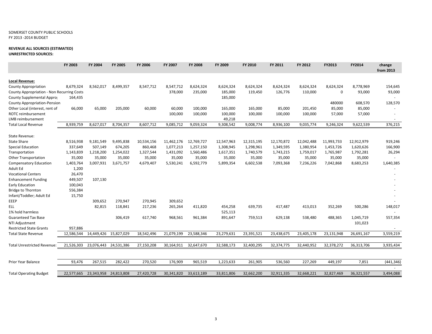### SOMERSET COUNTY PUBLIC SCHOOLS FY 2013 ‐2014 BUDGET

### **REVENUE ALL SOURCES (ESTIMATED)**

**UNRESTRICTED SOURCES:**

|                                            | FY 2003    | FY 2004               | FY 2005    | FY 2006    | FY 2007    | <b>FY 2008</b>        | FY 2009    | FY 2010    | FY 2011    | FY 2012    | FY2013      | FY2014     | change<br>from 2013 |
|--------------------------------------------|------------|-----------------------|------------|------------|------------|-----------------------|------------|------------|------------|------------|-------------|------------|---------------------|
| <b>Local Revenue:</b>                      |            |                       |            |            |            |                       |            |            |            |            |             |            |                     |
| <b>County Appropriation</b>                | 8,679,324  | 8,562,017             | 8,499,357  | 8,547,712  | 8,547,712  | 8,624,324             | 8,624,324  | 8,624,324  | 8,624,324  | 8,624,324  | 8,624,324   | 8,778,969  | 154,645             |
| County Appropriation - Non Recurring Costs |            |                       |            |            | 378,000    | 235,000               | 185,000    | 119,450    | 126,776    | 110,000    | $\mathbf 0$ | 93,000     | 93,000              |
| County Supplemental Appro                  | 164,435    |                       |            |            |            |                       | 185,000    |            |            |            |             |            |                     |
| <b>County Appropriation-Pension</b>        |            |                       |            |            |            |                       |            |            |            |            | 480000      | 608,570    | 128,570             |
| Other Local (interest, rent of             | 66,000     | 65,000                | 205,000    | 60,000     | 60,000     | 100,000               | 165,000    | 165,000    | 85,000     | 201,450    | 85,000      | 85,000     |                     |
| ROTC reimbursement                         |            |                       |            |            | 100,000    | 100,000               | 100,000    | 100,000    | 100,000    | 100,000    | 57,000      | 57,000     |                     |
| LMB reimbursement                          |            |                       |            |            |            |                       | 49,218     |            |            |            |             |            |                     |
| <b>Total Local Revenue</b>                 | 8,939,759  | 8,627,017             | 8,704,357  | 8,607,712  | 9,085,712  | 9,059,324             | 9,308,542  | 9,008,774  | 8,936,100  | 9,035,774  | 9,246,324   | 9,622,539  | 376,215             |
| State Revenue:                             |            |                       |            |            |            |                       |            |            |            |            |             |            |                     |
| <b>State Share</b>                         | 8,516,938  | 9,181,549             | 9,495,838  | 10,534,156 |            | 11,462,176 12,769,727 | 12,547,963 | 12,315,195 | 12,170,872 | 12,042,488 | 11,993,733  | 12,912,979 | 919,246             |
| <b>Special Education</b>                   | 337,649    | 507,149               | 674,205    | 860,468    | 1,077,213  | 1,257,150             | 1,308,945  | 1,298,961  | 1,349,595  | 1,380,954  | 1,453,726   | 1,620,626  | 166,900             |
| Transportation                             | 1,143,839  | 1,218,200             | 1,254,022  | 1,327,544  | 1,431,092  | 1,560,486             | 1,617,351  | 1,740,579  | 1,743,215  | 1,759,017  | 1,765,987   | 1,792,281  | 26,294              |
| <b>Other Transportation</b>                | 35,000     | 35,000                | 35,000     | 35,000     | 35,000     | 35,000                | 35,000     | 35,000     | 35,000     | 35,000     | 35,000      | 35,000     |                     |
| <b>Compensatory Education</b>              | 1,403,764  | 3,007,931             | 3,671,757  | 4,679,407  | 5,530,241  | 6,592,779             | 5,899,354  | 6,602,538  | 7,093,368  | 7,236,226  | 7,042,868   | 8,683,253  | 1,640,385           |
| Adult Ed                                   | 1,200      |                       |            |            |            |                       |            |            |            |            |             |            |                     |
| <b>Vocational Centers</b>                  | 26,470     |                       |            |            |            |                       |            |            |            |            |             |            |                     |
| <b>Enhancement Funding</b>                 | 449,507    | 107,130               |            |            |            |                       |            |            |            |            |             |            |                     |
| <b>Early Education</b>                     | 100,043    |                       |            |            |            |                       |            |            |            |            |             |            |                     |
| Bridge to Thornton                         | 556,384    |                       |            |            |            |                       |            |            |            |            |             |            |                     |
| Infant/Toddler; Adult Ed                   | 15,750     |                       |            |            |            |                       |            |            |            |            |             |            |                     |
| EEEP                                       |            | 309,652               | 270,947    | 270,945    | 309,652    |                       |            |            |            |            |             |            |                     |
| <b>ELL</b>                                 |            | 82,815                | 118,841    | 217,236    | 265,264    | 411,820               | 454,258    | 639,735    | 417,487    | 413,013    | 352,269     | 500,286    | 148,017             |
| 1% hold harmless                           |            |                       |            |            |            |                       | 525,113    |            |            |            |             |            |                     |
| <b>Guaranteed Tax Base</b>                 |            |                       | 306,419    | 617,740    | 968,561    | 961,384               | 891,647    | 759,513    | 629,138    | 538,480    | 488,365     | 1,045,719  | 557,354             |
| NTI Adjustment                             |            |                       |            |            |            |                       |            |            |            |            |             | 101,023    |                     |
| <b>Restricted State Grants</b>             | 957,886    |                       |            |            |            |                       |            |            |            |            |             |            |                     |
| <b>Total State Revenue</b>                 | 12,586,544 | 14,449,426 15,827,029 |            | 18,542,496 | 21,079,199 | 23,588,346            | 23,279,631 | 23,391,521 | 23,438,675 | 23,405,178 | 23,131,948  | 26,691,167 | 3,559,219           |
| <b>Total Unrestricted Revenue:</b>         | 21,526,303 | 23,076,443            | 24,531,386 | 27,150,208 | 30,164,911 | 32,647,670            | 32,588,173 | 32,400,295 | 32,374,775 | 32,440,952 | 32,378,272  | 36,313,706 | 3,935,434           |
| Prior Year Balance                         | 93,476     | 267,515               | 282,422    | 270,520    | 176,909    | 965,519               | 1,223,633  | 261,905    | 536,560    | 227,269    | 449,197     | 7,851      | (441, 346)          |
| <b>Total Operating Budget</b>              | 22,577,665 | 23,343,958            | 24,813,808 | 27,420,728 | 30,341,820 | 33,613,189            | 33,811,806 | 32,662,200 | 32,911,335 | 32,668,221 | 32,827,469  | 36,321,557 | 3,494,088           |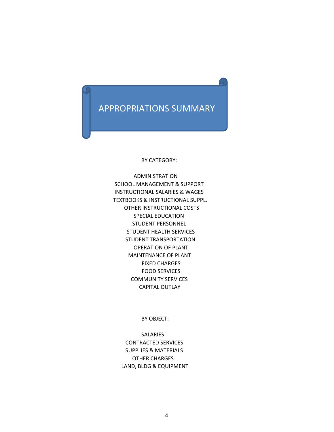## APPROPRIATIONS SUMMARY

BY CATEGORY:

 ADMINISTRATION SCHOOL MANAGEMENT & SUPPORT INSTRUCTIONAL SALARIES & WAGES TEXTBOOKS & INSTRUCTIONAL SUPPL. OTHER INSTRUCTIONAL COSTS SPECIAL EDUCATION STUDENT PERSONNEL STUDENT HEALTH SERVICES STUDENT TRANSPORTATION OPERATION OF PLANT MAINTENANCE OF PLANT FIXED CHARGES FOOD SERVICES COMMUNITY SERVICES CAPITAL OUTLAY

BY OBJECT:

SALARIES CONTRACTED SERVICES SUPPLIES & MATERIALS OTHER CHARGES LAND, BLDG & EQUIPMENT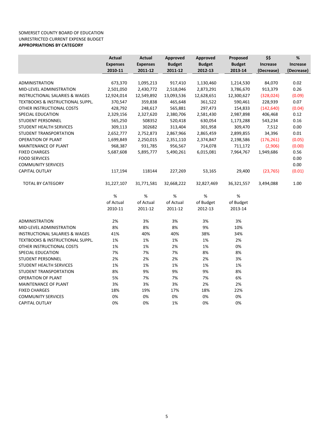### SOMERSET COUNTY BOARD OF EDUCATION UNRESTRICTED CURRENT EXPENSE BUDGET **APPROPRIATIONS BY CATEGORY**

|                                             | Actual          | Actual          | Approved      | Approved      | Proposed      | \$\$            | $\%$            |
|---------------------------------------------|-----------------|-----------------|---------------|---------------|---------------|-----------------|-----------------|
|                                             | <b>Expenses</b> | <b>Expenses</b> | <b>Budget</b> | <b>Budget</b> | <b>Budget</b> | <b>Increase</b> | <b>Increase</b> |
|                                             | 2010-11         | 2011-12         | 2011-12       | 2012-13       | 2013-14       | (Decrease)      | (Decrease)      |
|                                             |                 |                 |               |               |               |                 |                 |
| ADMINISTRATION                              | 673,370         | 1,095,213       | 917,410       | 1,130,460     | 1,214,530     | 84,070          | 0.02            |
| MID-LEVEL ADMINISTRATION                    | 2,501,050       | 2,430,772       | 2,518,046     | 2,873,291     | 3,786,670     | 913,379         | 0.26            |
| <b>INSTRUCTIONAL SALARIES &amp; WAGES</b>   | 12,924,014      | 12,549,892      | 13,093,536    | 12,628,651    | 12,300,627    | (328, 024)      | (0.09)          |
| <b>TEXTBOOKS &amp; INSTRUCTIONAL SUPPL.</b> | 370,547         | 359,838         | 465,648       | 361,522       | 590,461       | 228,939         | 0.07            |
| OTHER INSTRUCTIONAL COSTS                   | 428,792         | 248,617         | 565,881       | 297,473       | 154,833       | (142, 640)      | (0.04)          |
| SPECIAL EDUCATION                           | 2,329,156       | 2,327,620       | 2,380,706     | 2,581,430     | 2,987,898     | 406,468         | 0.12            |
| STUDENT PERSONNEL                           | 565,250         | 508352          | 520,418       | 630,054       | 1,173,288     | 543,234         | 0.16            |
| STUDENT HEALTH SERVICES                     | 309,113         | 302682          | 313,404       | 301,958       | 309,470       | 7,512           | 0.00            |
| STUDENT TRANSPORTATION                      | 2,652,777       | 2,752,873       | 2,867,966     | 2,865,459     | 2,899,855     | 34,396          | 0.01            |
| <b>OPERATION OF PLANT</b>                   | 1,699,849       | 2,250,015       | 2,351,110     | 2,374,847     | 2,198,586     | (176, 261)      | (0.05)          |
| <b>MAINTENANCE OF PLANT</b>                 | 968,387         | 931,785         | 956,567       | 714,078       | 711,172       | (2,906)         | (0.00)          |
| <b>FIXED CHARGES</b>                        | 5,687,608       | 5,895,777       | 5,490,261     | 6,015,081     | 7,964,767     | 1,949,686       | 0.56            |
| <b>FOOD SERVICES</b>                        |                 |                 |               |               |               |                 | 0.00            |
| <b>COMMUNITY SERVICES</b>                   |                 |                 |               |               |               |                 | 0.00            |
| <b>CAPITAL OUTLAY</b>                       | 117,194         | 118144          | 227,269       | 53,165        | 29,400        | (23, 765)       | (0.01)          |
| <b>TOTAL BY CATEGORY</b>                    | 31,227,107      | 31,771,581      | 32,668,222    | 32,827,469    | 36,321,557    | 3,494,088       | 1.00            |
|                                             | %               | $\%$            | $\%$          | $\%$          | $\%$          |                 |                 |
|                                             | of Actual       | of Actual       | of Actual     | of Budget     | of Budget     |                 |                 |
|                                             | 2010-11         | 2011-12         | 2011-12       | 2012-13       | 2013-14       |                 |                 |
| <b>ADMINISTRATION</b>                       | 2%              | 3%              | 3%            | 3%            | 3%            |                 |                 |
| MID-LEVEL ADMINISTRATION                    | 8%              | 8%              | 8%            | 9%            | 10%           |                 |                 |
| <b>INSTRUCTIONAL SALARIES &amp; WAGES</b>   | 41%             | 40%             | 40%           | 38%           | 34%           |                 |                 |
| <b>TEXTBOOKS &amp; INSTRUCTIONAL SUPPL.</b> | 1%              | 1%              | 1%            | 1%            | 2%            |                 |                 |
| OTHER INSTRUCTIONAL COSTS                   | 1%              | 1%              | 2%            | 1%            | 0%            |                 |                 |
| SPECIAL EDUCATION                           | 7%              | 7%              | 7%            | 8%            | 8%            |                 |                 |
| STUDENT PERSONNEL                           | 2%              | 2%              | 2%            | 2%            | 3%            |                 |                 |
| STUDENT HEALTH SERVICES                     | 1%              | 1%              | 1%            | 1%            | 1%            |                 |                 |
| STUDENT TRANSPORTATION                      | 8%              | 9%              | 9%            | 9%            | 8%            |                 |                 |
| <b>OPERATION OF PLANT</b>                   | 5%              | 7%              | 7%            | 7%            | 6%            |                 |                 |
| <b>MAINTENANCE OF PLANT</b>                 | 3%              | 3%              | 3%            | 2%            | 2%            |                 |                 |
| <b>FIXED CHARGES</b>                        | 18%             | 19%             | 17%           | 18%           | 22%           |                 |                 |
| <b>COMMUNITY SERVICES</b>                   | 0%              | 0%              | 0%            | 0%            | 0%            |                 |                 |
| <b>CAPITAL OUTLAY</b>                       | 0%              | 0%              | 1%            | 0%            | 0%            |                 |                 |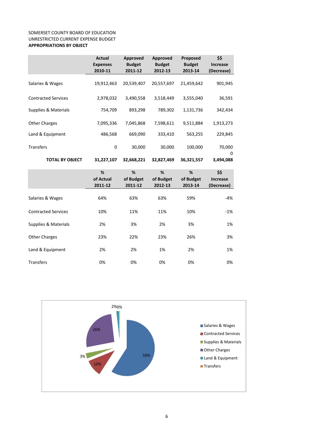### SOMERSET COUNTY BOARD OF EDUCATION UNRESTRICTED CURRENT EXPENSE BUDGET **APPROPRIATIONS BY OBJECT**

|                            | <b>Actual</b><br><b>Expenses</b><br>2010-11 | Approved<br><b>Budget</b><br>2011-12 | Approved<br><b>Budget</b><br>2012-13 | Proposed<br><b>Budget</b><br>2013-14 | \$\$<br><b>Increase</b><br>(Decrease) |
|----------------------------|---------------------------------------------|--------------------------------------|--------------------------------------|--------------------------------------|---------------------------------------|
| Salaries & Wages           | 19,912,463                                  | 20,539,407                           | 20,557,697                           | 21,459,642                           | 901,945                               |
| <b>Contracted Services</b> | 2,978,032                                   | 3,490,558                            | 3,518,449                            | 3,555,040                            | 36,591                                |
| Supplies & Materials       | 754,709                                     | 893,298                              | 789,302                              | 1,131,736                            | 342,434                               |
| <b>Other Charges</b>       | 7,095,336                                   | 7,045,868                            | 7,598,611                            | 9,511,884                            | 1,913,273                             |
| Land & Equipment           | 486,568                                     | 669,090                              | 333,410                              | 563,255                              | 229,845                               |
| <b>Transfers</b>           | $\mathbf 0$                                 | 30,000                               | 30,000                               | 100,000                              | 70,000                                |
| <b>TOTAL BY OBJECT</b>     | 31,227,107                                  | 32,668,221                           | 32,827,469                           | 36,321,557                           | 0<br>3,494,088                        |
|                            | %<br>of Actual<br>2011-12                   | %<br>of Budget<br>2011-12            | %<br>of Budget<br>2012-13            | %<br>of Budget<br>2013-14            | \$\$<br><b>Increase</b><br>(Decrease) |
| Salaries & Wages           | 64%                                         | 63%                                  | 63%                                  | 59%                                  | $-4%$                                 |
| <b>Contracted Services</b> | 10%                                         | 11%                                  | 11%                                  | 10%                                  | $-1%$                                 |
| Supplies & Materials       | 2%                                          | 3%                                   | 2%                                   | 3%                                   | 1%                                    |
| <b>Other Charges</b>       | 23%                                         | 22%                                  | 23%                                  | 26%                                  | 3%                                    |
| Land & Equipment           | 2%                                          | 2%                                   | 1%                                   | 2%                                   | 1%                                    |

Transfers 0% 0% 0% 0% 0%

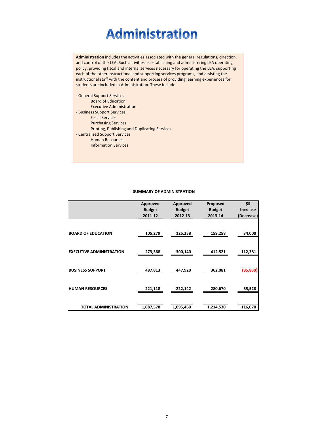# **Administration**

**Administration** includes the activities associated with the general regulations, direction, and control of the LEA. Such activities as establishing and administering LEA operating policy, providing fiscal and internal services necessary for operating the LEA, supporting each of the other instructional and supporting services programs, and assisting the instructional staff with the content and process of providing learning experiences for students are included in Administration. These include:

‐ General Support Services Board of Education Executive Administration ‐ Business Support Services Fiscal Services Purchasing Services Printing, Publishing and Duplicating Services ‐ Centralized Support Services Human Resources Information Services

### **SUMMARY OF ADMINISTRATION**

|                                 | Approved      | Approved      | Proposed      | \$\$            |
|---------------------------------|---------------|---------------|---------------|-----------------|
|                                 | <b>Budget</b> | <b>Budget</b> | <b>Budget</b> | <b>Increase</b> |
|                                 | 2011-12       | 2012-13       | 2013-14       | (Decrease)      |
|                                 |               |               |               |                 |
| <b>BOARD OF EDUCATION</b>       | 105,279       | 125,258       | 159,258       | 34,000          |
|                                 |               |               |               |                 |
|                                 |               |               |               |                 |
| <b>EXECUTIVE ADMINISTRATION</b> | 273,368       | 300,140       | 412,521       | 112,381         |
|                                 |               |               |               |                 |
|                                 |               |               |               |                 |
| <b>BUSINESS SUPPORT</b>         | 487,813       | 447,920       | 362,081       | (85, 839)       |
|                                 |               |               |               |                 |
|                                 |               |               |               |                 |
| <b>HUMAN RESOURCES</b>          | 221,118       | 222,142       | 280,670       | 55,528          |
|                                 |               |               |               |                 |
|                                 |               |               |               |                 |
| <b>TOTAL ADMINISTRATION</b>     | 1,087,578     | 1,095,460     | 1,214,530     | 116,070         |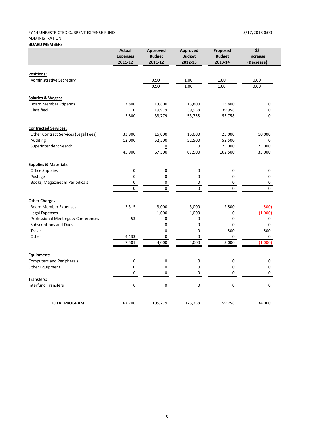### FY'14 UNRESTRICTED CURRENT EXPENSE FUND 5/17/2013 0:00 ADMINISTRATION **BOARD MEMBERS**

|                                      | <b>Actual</b><br><b>Expenses</b><br>2011-12 | Approved<br><b>Budget</b><br>2011-12 | <b>Approved</b><br><b>Budget</b><br>2012-13 | Proposed<br><b>Budget</b><br>2013-14 | \$\$<br><b>Increase</b><br>(Decrease) |
|--------------------------------------|---------------------------------------------|--------------------------------------|---------------------------------------------|--------------------------------------|---------------------------------------|
| <b>Positions:</b>                    |                                             |                                      |                                             |                                      |                                       |
| <b>Administrative Secretary</b>      |                                             | 0.50                                 | 1.00                                        | 1.00                                 | 0.00                                  |
|                                      |                                             | 0.50                                 | 1.00                                        | 1.00                                 | 0.00                                  |
| <b>Salaries &amp; Wages:</b>         |                                             |                                      |                                             |                                      |                                       |
| <b>Board Member Stipends</b>         | 13,800                                      | 13,800                               | 13,800                                      | 13,800                               | 0                                     |
| Classified                           | 0                                           | 19,979                               | 39,958                                      | 39,958                               | 0                                     |
|                                      | 13,800                                      | 33,779                               | 53,758                                      | 53,758                               | 0                                     |
| <b>Contracted Services:</b>          |                                             |                                      |                                             |                                      |                                       |
| Other Contract Services (Legal Fees) | 33,900                                      | 15,000                               | 15,000                                      | 25,000                               | 10,000                                |
| Auditing                             | 12,000                                      | 52,500                               | 52,500                                      | 52,500                               | 0                                     |
| Superintendent Search                |                                             | 0                                    | 0                                           | 25,000                               | 25,000                                |
|                                      | 45,900                                      | 67,500                               | 67,500                                      | 102,500                              | 35,000                                |
| <b>Supplies &amp; Materials:</b>     |                                             |                                      |                                             |                                      |                                       |
| <b>Office Supplies</b>               | 0                                           | 0                                    | 0                                           | $\pmb{0}$                            | $\pmb{0}$                             |
| Postage                              | 0                                           | 0                                    | $\mathbf 0$                                 | 0                                    | 0                                     |
| Books, Magazines & Periodicals       | 0                                           | 0                                    | 0                                           | 0                                    | 0                                     |
|                                      | $\mathbf 0$                                 | $\mathbf{0}$                         | $\mathbf{0}$                                | $\mathbf 0$                          | $\mathbf{0}$                          |
| <b>Other Charges:</b>                |                                             |                                      |                                             |                                      |                                       |
| <b>Board Member Expenses</b>         | 3,315                                       | 3,000                                | 3,000                                       | 2,500                                | (500)                                 |
| Legal Expenses                       |                                             | 1,000                                | 1,000                                       | $\mathbf 0$                          | (1,000)                               |
| Professional Meetings & Conferences  | 53                                          | 0                                    | $\mathbf 0$                                 | 0                                    | 0                                     |
| <b>Subscriptions and Dues</b>        |                                             | 0                                    | $\mathbf 0$                                 | 0                                    | 0                                     |
| Travel                               |                                             | 0                                    | 0                                           | 500                                  | 500                                   |
| Other                                | 4,133                                       | 0                                    | 0                                           | $\mathbf 0$                          | 0                                     |
|                                      | 7,501                                       | 4,000                                | 4,000                                       | 3,000                                | (1,000)                               |
| Equipment:                           |                                             |                                      |                                             |                                      |                                       |
| <b>Computers and Peripherals</b>     | 0                                           | 0                                    | 0                                           | $\pmb{0}$                            | $\mathbf 0$                           |
| Other Equipment                      | 0                                           | 0                                    | 0                                           | 0                                    | 0                                     |
|                                      | 0                                           | 0                                    | 0                                           | 0                                    | 0                                     |
| <b>Transfers:</b>                    |                                             |                                      |                                             |                                      |                                       |
| <b>Interfund Transfers</b>           | 0                                           | $\pmb{0}$                            | $\pmb{0}$                                   | $\pmb{0}$                            | $\pmb{0}$                             |
| <b>TOTAL PROGRAM</b>                 | 67,200                                      | 105,279                              | 125,258                                     | 159,258                              | 34,000                                |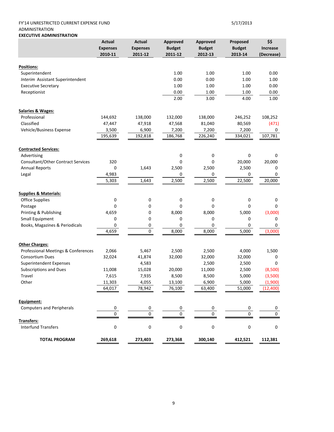### FY'14 UNRESTRICTED CURRENT EXPENSE FUND 5/17/2013 ADMINISTRATION **EXECUTIVE ADMINISTRATION**

|                                           | <b>Actual</b>   | Actual          | Approved      | Approved      | Proposed      | \$\$       |
|-------------------------------------------|-----------------|-----------------|---------------|---------------|---------------|------------|
|                                           | <b>Expenses</b> | <b>Expenses</b> | <b>Budget</b> | <b>Budget</b> | <b>Budget</b> | Increase   |
|                                           | 2010-11         | 2011-12         | 2011-12       | 2012-13       | 2013-14       | (Decrease) |
|                                           |                 |                 |               |               |               |            |
| <b>Positions:</b>                         |                 |                 |               |               |               |            |
| Superintendent                            |                 |                 | 1.00          | 1.00          | 1.00          | 0.00       |
| Interim Assistant Superintendent          |                 |                 | 0.00          | 0.00          | 1.00          | 1.00       |
| <b>Executive Secretary</b>                |                 |                 | 1.00          | 1.00          | 1.00          | 0.00       |
| Receptionist                              |                 |                 | 0.00          | 1.00          | 1.00          | 0.00       |
|                                           |                 |                 | 2.00          | 3.00          | 4.00          | 1.00       |
| <b>Salaries &amp; Wages:</b>              |                 |                 |               |               |               |            |
| Professional                              | 144,692         | 138,000         | 132,000       | 138,000       | 246,252       | 108,252    |
| Classified                                | 47,447          | 47,918          | 47,568        | 81,040        | 80,569        | (471)      |
| Vehicle/Business Expense                  | 3,500           | 6,900           | 7,200         | 7,200         | 7,200         | 0          |
|                                           | 195,639         | 192,818         | 186,768       | 226,240       | 334,021       | 107,781    |
|                                           |                 |                 |               |               |               |            |
| <b>Contracted Services:</b>               |                 |                 |               |               |               |            |
| Advertising                               |                 |                 | 0             | $\mathbf 0$   | 0             | 0          |
| <b>Consultant/Other Contract Services</b> | 320             |                 | 0             | 0             | 20,000        | 20,000     |
| <b>Annual Reports</b>                     | 0               | 1,643           | 2,500         | 2,500         | 2,500         | 0          |
| Legal                                     | 4,983           |                 | 0             | 0             | 0             | 0          |
|                                           | 5,303           | 1,643           | 2,500         | 2,500         | 22,500        | 20,000     |
| <b>Supplies &amp; Materials:</b>          |                 |                 |               |               |               |            |
| <b>Office Supplies</b>                    | 0               | 0               | 0             | 0             | 0             | 0          |
|                                           | 0               | 0               | $\Omega$      | 0             | 0             | 0          |
| Postage                                   |                 |                 |               |               |               |            |
| Printing & Publishing                     | 4,659           | 0               | 8,000         | 8,000         | 5,000         | (3,000)    |
| Small Equipment                           | 0               | 0               | 0             | 0             | 0             | 0          |
| Books, Magazines & Periodicals            | 0               | 0               | 0             | 0             | 0             | 0          |
|                                           | 4,659           | 0               | 8,000         | 8,000         | 5,000         | (3,000)    |
| <b>Other Charges:</b>                     |                 |                 |               |               |               |            |
| Professional Meetings & Conferences       | 2,066           | 5,467           | 2,500         | 2,500         | 4,000         | 1,500      |
| <b>Consortium Dues</b>                    | 32,024          | 41,874          | 32,000        | 32,000        | 32,000        | 0          |
| <b>Superintendent Expenses</b>            |                 | 4,583           |               | 2,500         | 2,500         | 0          |
| <b>Subscriptions and Dues</b>             | 11,008          | 15,028          | 20,000        | 11,000        | 2,500         | (8,500)    |
| Travel                                    | 7,615           | 7,935           | 8,500         | 8,500         | 5,000         | (3,500)    |
| Other                                     | 11.303          | 4.055           | 13.100        | 6.900         | 5.000         | (1.900)    |
|                                           | 64,017          | 78,942          | 76,100        | 63,400        | 51,000        | (12,400)   |
|                                           |                 |                 |               |               |               |            |
| Equipment:                                |                 |                 |               |               |               |            |
| <b>Computers and Peripherals</b>          | 0               | 0               | 0             | 0             | 0             | 0          |
|                                           | 0               | 0               | 0             | 0             | 0             | 0          |
| Transfers:                                |                 |                 |               |               |               |            |
| <b>Interfund Transfers</b>                | 0               | 0               | 0             | 0             | 0             | 0          |
| <b>TOTAL PROGRAM</b>                      | 269,618         | 273,403         | 273,368       | 300,140       | 412,521       | 112,381    |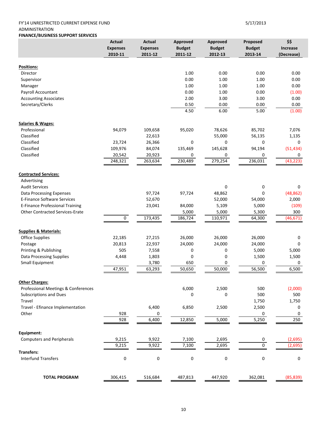### FY'14 UNRESTRICTED CURRENT EXPENSE FUND 5/17/2013 ADMINISTRATION

### **FINANCE/BUSINESS SUPPORT SERVICES**

|                                        | <b>Actual</b>   | <b>Actual</b>   | <b>Approved</b> | <b>Approved</b> | Proposed      | \$\$       |
|----------------------------------------|-----------------|-----------------|-----------------|-----------------|---------------|------------|
|                                        | <b>Expenses</b> | <b>Expenses</b> | <b>Budget</b>   | <b>Budget</b>   | <b>Budget</b> | Increase   |
|                                        | 2010-11         | 2011-12         | 2011-12         | 2012-13         | 2013-14       | (Decrease) |
|                                        |                 |                 |                 |                 |               |            |
| Positions:                             |                 |                 |                 |                 |               |            |
| Director                               |                 |                 | 1.00            | 0.00            | 0.00          | 0.00       |
| Supervisor                             |                 |                 | 0.00            | 1.00            | 1.00          | 0.00       |
| Manager                                |                 |                 | 1.00            | 1.00            | 1.00          | 0.00       |
| Payroll Accountant                     |                 |                 | 0.00            | 1.00            | 0.00          | (1.00)     |
| <b>Accounting Associates</b>           |                 |                 | 2.00            | 3.00            | 3.00          | 0.00       |
| Secretary/Clerks                       |                 |                 | 0.50            | 0.00            | 0.00          | 0.00       |
|                                        |                 |                 | 4.50            | 6.00            | 5.00          | (1.00)     |
| <b>Salaries &amp; Wages:</b>           |                 |                 |                 |                 |               |            |
| Professional                           | 94,079          | 109,658         | 95,020          | 78,626          | 85,702        | 7,076      |
| Classified                             |                 | 22,613          |                 | 55,000          | 56,135        | 1,135      |
| Classified                             | 23,724          | 26,366          | 0               | 0               | 0             | 0          |
| Classified                             | 109,976         | 84,074          | 135,469         | 145,628         | 94,194        | (51, 434)  |
| Classified                             | 20,542          | 20,923          | 0               | 0               | 0             | 0          |
|                                        | 248,321         | 263,634         | 230,489         | 279,254         | 236,031       | (43, 223)  |
|                                        |                 |                 |                 |                 |               |            |
| <b>Contracted Services:</b>            |                 |                 |                 |                 |               |            |
| Advertising                            |                 |                 |                 |                 |               |            |
| <b>Audit Services</b>                  |                 |                 |                 | 0               | 0             | 0          |
| <b>Data Processing Expenses</b>        |                 | 97,724          | 97,724          | 48,862          | 0             | (48, 862)  |
| <b>E-Finance Software Services</b>     |                 | 52,670          |                 | 52,000          | 54,000        | 2,000      |
| E-Finance Professional Training        |                 | 23,041          | 84,000          | 5,109           | 5,000         | (109)      |
| <b>Other Contracted Services-Erate</b> |                 |                 | 5,000           | 5,000           | 5,300         | 300        |
|                                        | 0               | 173,435         | 186,724         | 110,971         | 64,300        | (46, 671)  |
| <b>Supplies &amp; Materials:</b>       |                 |                 |                 |                 |               |            |
| <b>Office Supplies</b>                 | 22,185          | 27,215          | 26,000          | 26,000          | 26,000        | 0          |
| Postage                                | 20,813          | 22,937          | 24,000          | 24,000          | 24,000        | 0          |
|                                        | 505             |                 |                 |                 | 5,000         |            |
| Printing & Publishing                  |                 | 7,558           | 0               | 0               | 1,500         | 5,000      |
| <b>Data Processing Supplies</b>        | 4,448           | 1,803           | 0               | 0               |               | 1,500      |
| Small Equipment                        |                 | 3,780           | 650             | 0               | $\mathbf 0$   | 0          |
|                                        | 47,951          | 63,293          | 50,650          | 50,000          | 56,500        | 6,500      |
| <b>Other Charges:</b>                  |                 |                 |                 |                 |               |            |
| Professional Meetings & Conferences    |                 |                 | 6,000           | 2,500           | 500           | (2,000)    |
| <b>Subscriptions and Dues</b>          |                 |                 | 0               | 0               | 500           | 500        |
| Travel                                 |                 |                 |                 |                 | 1,750         | 1,750      |
| Travel - Efinance Implementation       |                 | 6,400           | 6,850           | 2,500           | 2,500         | 0          |
| Other                                  | 928             | 0               |                 |                 | 0             | 0          |
|                                        | 928             | 6,400           | 12,850          | 5,000           | 5,250         | 250        |
|                                        |                 |                 |                 |                 |               |            |
| Equipment:                             |                 |                 |                 |                 |               |            |
| <b>Computers and Peripherals</b>       | 9,215           | 9,922           | 7,100           | 2,695           | 0             | (2,695)    |
| <b>Transfers:</b>                      | 9,215           | 9,922           | 7,100           | 2,695           | 0             | (2,695)    |
| <b>Interfund Transfers</b>             | 0               | 0               | 0               | 0               | $\pmb{0}$     | $\pmb{0}$  |
|                                        |                 |                 |                 |                 |               |            |
|                                        |                 |                 |                 |                 |               |            |
| <b>TOTAL PROGRAM</b>                   | 306,415         | 516,684         | 487,813         | 447,920         | 362,081       | (85, 839)  |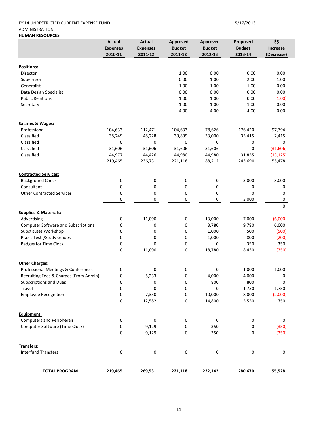### FY'14 UNRESTRICTED CURRENT EXPENSE FUND 5/17/2013 ADMINISTRATION **HUMAN RESOURCES**

|                                            | <b>Actual</b><br><b>Expenses</b><br>2010-11 | <b>Actual</b><br><b>Expenses</b><br>2011-12 | Approved<br><b>Budget</b><br>2011-12 | Approved<br><b>Budget</b><br>2012-13 | Proposed<br><b>Budget</b><br>2013-14 | \$\$<br><b>Increase</b><br>(Decrease) |
|--------------------------------------------|---------------------------------------------|---------------------------------------------|--------------------------------------|--------------------------------------|--------------------------------------|---------------------------------------|
| <b>Positions:</b>                          |                                             |                                             |                                      |                                      |                                      |                                       |
| Director                                   |                                             |                                             | 1.00                                 | 0.00                                 | 0.00                                 | 0.00                                  |
| Supervisor                                 |                                             |                                             | 0.00                                 | 1.00                                 | 2.00                                 | 1.00                                  |
| Generalist                                 |                                             |                                             | 1.00                                 | 1.00                                 | 1.00                                 | 0.00                                  |
| Data Design Specialist                     |                                             |                                             | 0.00                                 | 0.00                                 | 0.00                                 | 0.00                                  |
| <b>Public Relations</b>                    |                                             |                                             | 1.00                                 | 1.00                                 | 0.00                                 | (1.00)                                |
| Secretary                                  |                                             |                                             | 1.00                                 | 1.00                                 | 1.00                                 | 0.00                                  |
|                                            |                                             |                                             | 4.00                                 | 4.00                                 | 4.00                                 | 0.00                                  |
| <b>Salaries &amp; Wages:</b>               |                                             |                                             |                                      |                                      |                                      |                                       |
| Professional                               | 104,633                                     | 112,471                                     | 104,633                              | 78,626                               | 176,420                              | 97,794                                |
| Classified                                 | 38,249                                      | 48,228                                      | 39,899                               | 33,000                               | 35,415                               | 2,415                                 |
| Classified                                 | 0                                           | 0                                           | 0                                    | 0                                    | 0                                    | 0                                     |
| Classified                                 | 31,606                                      | 31,606                                      | 31,606                               | 31,606                               | 0                                    | (31,606)                              |
| Classified                                 | 44,977                                      | 44,426                                      | 44,980                               | 44,980                               | 31,855                               | (13, 125)                             |
|                                            | 219,465                                     | 236,731                                     | 221,118                              | 188,212                              | 243,690                              | 55,478                                |
| <b>Contracted Services:</b>                |                                             |                                             |                                      |                                      |                                      |                                       |
| <b>Background Checks</b>                   | 0                                           | 0                                           | 0                                    | 0                                    | 3,000                                | 3,000                                 |
| Consultant                                 | 0                                           | $\pmb{0}$                                   | 0                                    | 0                                    | 0                                    | 0                                     |
| <b>Other Contracted Services</b>           | 0                                           | 0                                           | 0                                    | 0                                    | 0                                    | 0                                     |
|                                            | $\mathbf 0$                                 | $\pmb{0}$                                   | $\pmb{0}$                            | $\pmb{0}$                            | 3,000                                | $\mathbf 0$                           |
| <b>Supplies &amp; Materials:</b>           |                                             |                                             |                                      |                                      |                                      | 0                                     |
| Advertising                                | 0                                           | 11,090                                      | 0                                    | 13,000                               | 7,000                                | (6,000)                               |
| <b>Computer Software and Subscriptions</b> | 0                                           | 0                                           | 0                                    | 3,780                                | 9,780                                | 6,000                                 |
| Substitutes Workshop                       | 0                                           | 0                                           | 0                                    | 1,000                                | 500                                  | (500)                                 |
| Praxis Tests/Study Guides                  | 0                                           | 0                                           | 0                                    | 1,000                                | 800                                  | (200)                                 |
| <b>Badges for Time Clock</b>               | 0                                           | 0                                           | 0                                    | 0                                    | 350                                  | 350                                   |
|                                            | $\overline{0}$                              | 11,090                                      | $\overline{0}$                       | 18,780                               | 18,430                               | (350)                                 |
| <b>Other Charges:</b>                      |                                             |                                             |                                      |                                      |                                      |                                       |
| Professional Meetings & Conferences        | 0                                           | 0                                           | 0                                    | 0                                    | 1,000                                | 1,000                                 |
| Recruiting Fees & Charges (From Admin)     | 0                                           | 5,233                                       | 0                                    | 4,000                                | 4,000                                | 0                                     |
| Subscriptions and Dues                     | 0                                           | $\pmb{0}$                                   | 0                                    | 800                                  | 800                                  | 0                                     |
| Travel                                     | 0                                           | 0                                           | 0                                    | 0                                    | 1,750                                | 1,750                                 |
| <b>Employee Recognition</b>                | 0                                           | 7,350                                       | $\overline{0}$                       | 10,000                               | 8,000                                | (2,000)                               |
|                                            | 0                                           | 12,582                                      | 0                                    | 14,800                               | 15,550                               | 750                                   |
| Equipment:                                 |                                             |                                             |                                      |                                      |                                      |                                       |
| <b>Computers and Peripherals</b>           | $\boldsymbol{0}$                            | $\pmb{0}$                                   | 0                                    | 0                                    | $\pmb{0}$                            | $\pmb{0}$                             |
| Computer Software (Time Clock)             | 0                                           | 9,129                                       | 0                                    | 350                                  | 0                                    | (350)                                 |
|                                            | 0                                           | 9,129                                       | $\pmb{0}$                            | 350                                  | $\pmb{0}$                            | (350)                                 |
| Transfers:                                 |                                             |                                             |                                      |                                      |                                      |                                       |
| <b>Interfund Transfers</b>                 | $\pmb{0}$                                   | $\pmb{0}$                                   | $\pmb{0}$                            | 0                                    | 0                                    | $\pmb{0}$                             |
| <b>TOTAL PROGRAM</b>                       | 219,465                                     | 269,531                                     | 221,118                              | 222,142                              | 280,670                              | 55,528                                |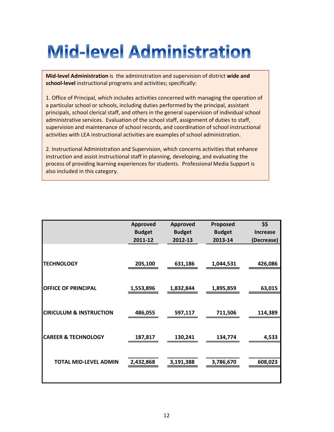# **Mid-level Administration**

**Mid‐level Administration** is the administration and supervision of district **wide and school‐level** instructional programs and activities; specifically:

1. Office of Principal, which includes activities concerned with managing the operation of a particular school or schools, including duties performed by the principal, assistant principals, school clerical staff, and others in the general supervision of individual school administrative services. Evaluation of the school staff, assignment of duties to staff, supervision and maintenance of school records, and coordination of school instructional activities with LEA instructional activities are examples of school administration.

2. Instructional Administration and Supervision, which concerns activities that enhance instruction and assist instructional staff in planning, developing, and evaluating the process of providing learning experiences for students. Professional Media Support is also included in this category.

|                                    | <b>Approved</b> | <b>Approved</b> | Proposed      | \$\$            |
|------------------------------------|-----------------|-----------------|---------------|-----------------|
|                                    | <b>Budget</b>   | <b>Budget</b>   | <b>Budget</b> | <b>Increase</b> |
|                                    | 2011-12         | 2012-13         | 2013-14       | (Decrease)      |
|                                    |                 |                 |               |                 |
| <b>TECHNOLOGY</b>                  | 205,100         | 631,186         | 1,044,531     | 426,086         |
|                                    |                 |                 |               |                 |
| <b>OFFICE OF PRINCIPAL</b>         | 1,553,896       | 1,832,844       | 1,895,859     | 63,015          |
|                                    |                 |                 |               |                 |
| <b>CIRICULUM &amp; INSTRUCTION</b> | 486,055         | 597,117         | 711,506       | 114,389         |
|                                    |                 |                 |               |                 |
| <b>CAREER &amp; TECHNOLOGY</b>     | 187,817         | 130,241         | 134,774       | 4,533           |
|                                    |                 |                 |               |                 |
| <b>TOTAL MID-LEVEL ADMIN</b>       | 2,432,868       | 3,191,388       | 3,786,670     | 608,023         |
|                                    |                 |                 |               |                 |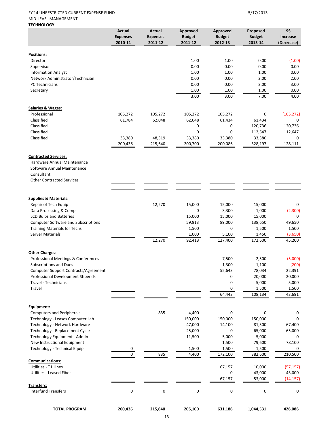### FY'14 UNRESTRICTED CURRENT EXPENSE FUND 5/17/2013 MID‐LEVEL MANAGEMENT **TECHNOLOGY**

|                                                                      | <b>Actual</b><br><b>Expenses</b><br>2010-11 | <b>Actual</b><br><b>Expenses</b><br>2011-12 | Approved<br><b>Budget</b><br>2011-12 | Approved<br><b>Budget</b><br>2012-13 | Proposed<br><b>Budget</b><br>2013-14 | \$\$<br><b>Increase</b><br>(Decrease) |
|----------------------------------------------------------------------|---------------------------------------------|---------------------------------------------|--------------------------------------|--------------------------------------|--------------------------------------|---------------------------------------|
|                                                                      |                                             |                                             |                                      |                                      |                                      |                                       |
| <b>Positions:</b><br>Director                                        |                                             |                                             | 1.00                                 | 1.00                                 | 0.00                                 | (1.00)                                |
| Supervisor                                                           |                                             |                                             | 0.00                                 | 0.00                                 | 0.00                                 | 0.00                                  |
| <b>Information Analyst</b>                                           |                                             |                                             | 1.00                                 | 1.00                                 | 1.00                                 | 0.00                                  |
| Network Administrator/Technician                                     |                                             |                                             | 0.00                                 | 0.00                                 | 2.00                                 | 2.00                                  |
| PC Technicians                                                       |                                             |                                             | 0.00                                 | 0.00                                 | 3.00                                 | 3.00                                  |
| Secretary                                                            |                                             |                                             | 1.00                                 | 1.00                                 | 1.00                                 | 0.00                                  |
|                                                                      |                                             |                                             | 3.00                                 | 3.00                                 | 7.00                                 | 4.00                                  |
| <b>Salaries &amp; Wages:</b>                                         |                                             |                                             |                                      |                                      |                                      |                                       |
| Professional                                                         | 105,272                                     | 105,272                                     | 105,272                              | 105,272                              | 0                                    | (105, 272)                            |
| Classified                                                           | 61,784                                      | 62,048                                      | 62,048                               | 61,434                               | 61,434                               | 0                                     |
| Classified                                                           |                                             |                                             | 0                                    | 0                                    | 120,736                              | 120,736                               |
| Classified                                                           |                                             |                                             | 0                                    | 0                                    | 112,647                              | 112,647                               |
| Classified                                                           | 33,380<br>200,436                           | 48,319<br>215,640                           | 33,380<br>200,700                    | 33,380<br>200,086                    | 33,380<br>328,197                    | 0<br>128,111                          |
|                                                                      |                                             |                                             |                                      |                                      |                                      |                                       |
| <b>Contracted Services:</b>                                          |                                             |                                             |                                      |                                      |                                      |                                       |
| Hardware Annual Maintenance                                          |                                             |                                             |                                      |                                      |                                      |                                       |
| Software Annual Maintenance<br>Consultant                            |                                             |                                             |                                      |                                      |                                      |                                       |
| <b>Other Contracted Services</b>                                     |                                             |                                             |                                      |                                      |                                      |                                       |
|                                                                      |                                             |                                             |                                      |                                      |                                      |                                       |
|                                                                      |                                             |                                             |                                      |                                      |                                      |                                       |
| <b>Supplies &amp; Materials:</b><br>Repair of Tech Equip             |                                             | 12,270                                      | 15,000                               | 15,000                               | 15,000                               | 0                                     |
| Data Processing & Comp.                                              |                                             |                                             | 0                                    | 3,300                                | 1,000                                | (2,300)                               |
| <b>LCD Bulbs and Batteries</b>                                       |                                             |                                             | 15,000                               | 15,000                               | 15,000                               | 0                                     |
| <b>Computer Software and Subscriptions</b>                           |                                             |                                             | 59,913                               | 89,000                               | 138,650                              | 49,650                                |
| <b>Training Materials for Techs</b>                                  |                                             |                                             | 1,500                                | 0                                    | 1,500                                | 1,500                                 |
| Server Materials                                                     |                                             |                                             | 1,000                                | 5,100                                | 1,450                                | (3,650)                               |
|                                                                      |                                             | 12,270                                      | 92,413                               | 127,400                              | 172,600                              | 45,200                                |
| <b>Other Charges:</b>                                                |                                             |                                             |                                      |                                      |                                      |                                       |
| Professional Meetings & Conferences                                  |                                             |                                             |                                      | 7,500                                | 2,500                                | (5,000)                               |
| <b>Subscriptions and Dues</b>                                        |                                             |                                             |                                      | 1,300                                | 1,100                                | (200)                                 |
| Computer Support Contracts/Agreement                                 |                                             |                                             |                                      | 55,643                               | 78,034                               | 22,391                                |
| Professional Development Stipends                                    |                                             |                                             |                                      | 0                                    | 20,000                               | 20,000                                |
| Travel - Technicians                                                 |                                             |                                             |                                      | 0                                    | 5,000                                | 5,000                                 |
| Travel                                                               |                                             |                                             |                                      | 0                                    | 1,500                                | 1,500                                 |
|                                                                      |                                             |                                             |                                      | 64,443                               | 108,134                              | 43,691                                |
| Equipment:                                                           |                                             |                                             |                                      |                                      |                                      |                                       |
| <b>Computers and Peripherals</b><br>Technology - Leases Computer Lab |                                             | 835                                         | 4,400<br>150,000                     | $\pmb{0}$<br>150,000                 | $\mathbf 0$<br>150,000               | 0<br>0                                |
| Technology - Network Hardware                                        |                                             |                                             | 47,000                               | 14,100                               | 81,500                               | 67,400                                |
| Technology - Replacement Cycle                                       |                                             |                                             | 25,000                               | 0                                    | 65,000                               | 65,000                                |
| Technology Equipment - Admin                                         |                                             |                                             | 11,500                               | 5,000                                | 5,000                                | 0                                     |
| New Instructional Equipment                                          |                                             |                                             |                                      | 1,500                                | 79,600                               | 78,100                                |
| Technology - Technical Equip                                         | 0                                           |                                             | 1,500                                | 1,500                                | 1,500                                | 0                                     |
|                                                                      | $\overline{0}$                              | 835                                         | 4,400                                | 172,100                              | 382,600                              | 210,500                               |
| <b>Communications:</b>                                               |                                             |                                             |                                      |                                      |                                      |                                       |
| Utilities - T1 Lines                                                 |                                             |                                             |                                      | 67,157                               | 10,000                               | (57, 157)                             |
| Utilities - Leased Fiber                                             |                                             |                                             |                                      | 0<br>67,157                          | 43,000<br>53,000                     | 43,000<br>(14, 157)                   |
| <b>Transfers:</b>                                                    |                                             |                                             |                                      |                                      |                                      |                                       |
| <b>Interfund Transfers</b>                                           | 0                                           | $\pmb{0}$                                   | $\pmb{0}$                            | 0                                    | $\boldsymbol{0}$                     | 0                                     |
| <b>TOTAL PROGRAM</b>                                                 | 200,436                                     | 215,640                                     | 205,100                              | 631,186                              | 1,044,531                            | 426,086                               |
|                                                                      |                                             |                                             |                                      |                                      |                                      |                                       |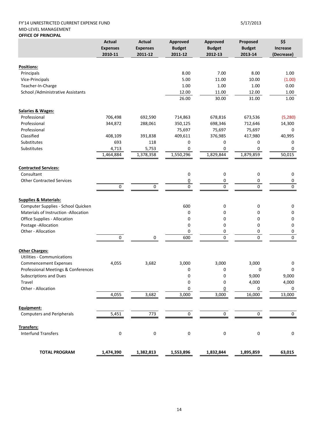### FY'14 UNRESTRICTED CURRENT EXPENSE FUND 5/17/2013 MID‐LEVEL MANAGEMENT **OFFICE OF PRINCIPAL**

|                                           | <b>Actual</b>   | <b>Actual</b>   | Approved         | Approved       | Proposed       | \$\$         |
|-------------------------------------------|-----------------|-----------------|------------------|----------------|----------------|--------------|
|                                           | <b>Expenses</b> | <b>Expenses</b> | <b>Budget</b>    | <b>Budget</b>  | <b>Budget</b>  | Increase     |
|                                           | 2010-11         | 2011-12         | 2011-12          | 2012-13        | 2013-14        | (Decrease)   |
|                                           |                 |                 |                  |                |                |              |
| Positions:                                |                 |                 |                  |                |                |              |
| Principals                                |                 |                 | 8.00             | 7.00           | 8.00           | 1.00         |
| Vice-Principals                           |                 |                 | 5.00             | 11.00          | 10.00          | (1.00)       |
| Teacher-In-Charge                         |                 |                 | 1.00             | 1.00           | 1.00           | 0.00         |
| School / Administrative Assistants        |                 |                 | 12.00<br>26.00   | 11.00<br>30.00 | 12.00<br>31.00 | 1.00<br>1.00 |
|                                           |                 |                 |                  |                |                |              |
| <b>Salaries &amp; Wages:</b>              |                 |                 |                  |                |                |              |
| Professional                              | 706,498         | 692,590         | 714,863          | 678,816        | 673,536        | (5, 280)     |
| Professional                              | 344,872         | 288,061         | 350,125          | 698,346        | 712,646        | 14,300       |
| Professional                              |                 |                 | 75,697           | 75,697         | 75,697         | 0            |
| Classified                                | 408,109         | 391,838         | 409,611          | 376,985        | 417,980        | 40,995       |
| Substitutes                               | 693             | 118             | 0                | 0              | 0              | 0            |
| Substitutes                               | 4,713           | 5,753           | 0                | 0              | 0              | 0            |
|                                           | 1,464,884       | 1,378,358       | 1,550,296        | 1,829,844      | 1,879,859      | 50,015       |
|                                           |                 |                 |                  |                |                |              |
| <b>Contracted Services:</b><br>Consultant |                 |                 |                  |                |                |              |
|                                           |                 |                 | 0                | 0              | 0              | 0            |
| <b>Other Contracted Services</b>          |                 |                 | $\underline{0}$  | 0              | 0              | 0            |
|                                           | 0               | 0               | 0                | 0              | 0              | $\mathbf 0$  |
| <b>Supplies &amp; Materials:</b>          |                 |                 |                  |                |                |              |
| Computer Supplies - School Quicken        |                 |                 | 600              | 0              | 0              | 0            |
| Materials of Instruction -Allocation      |                 |                 | 0                | 0              | 0              | 0            |
| Office Supplies - Allocation              |                 |                 | 0                | 0              | 0              | 0            |
| Postage - Allocation                      |                 |                 | 0                | 0              | 0              | 0            |
| Other - Allocation                        |                 |                 | 0                | 0              | 0              | 0            |
|                                           | $\mathbf 0$     | 0               | 600              | $\mathbf 0$    | $\overline{0}$ | $\mathbf 0$  |
|                                           |                 |                 |                  |                |                |              |
| <b>Other Charges:</b>                     |                 |                 |                  |                |                |              |
| <b>Utilities - Communications</b>         |                 |                 |                  |                |                |              |
| <b>Commencement Expenses</b>              | 4,055           | 3,682           | 3,000            | 3,000          | 3,000          | 0            |
| Professional Meetings & Conferences       |                 |                 | 0                | 0              | 0              | 0            |
| Subscriptions and Dues                    |                 |                 | 0                | 0              | 9,000          | 9,000        |
| Travel                                    |                 |                 | 0                | 0              | 4,000          | 4,000        |
| Other - Allocation                        |                 |                 | 0                | 0              | 0              | 0            |
|                                           | 4,055           | 3,682           | 3,000            | 3,000          | 16,000         | 13,000       |
| Equipment:                                |                 |                 |                  |                |                |              |
| <b>Computers and Peripherals</b>          | 5,451           | 773             | $\boldsymbol{0}$ | $\mathbf 0$    | 0              | $\mathbf 0$  |
|                                           |                 |                 |                  |                |                |              |
| Transfers:<br><b>Interfund Transfers</b>  |                 | $\pmb{0}$       |                  | 0              | 0              | 0            |
|                                           | 0               |                 | 0                |                |                |              |
|                                           |                 |                 |                  |                |                |              |
| <b>TOTAL PROGRAM</b>                      | 1,474,390       | 1,382,813       | 1,553,896        | 1,832,844      | 1,895,859      | 63,015       |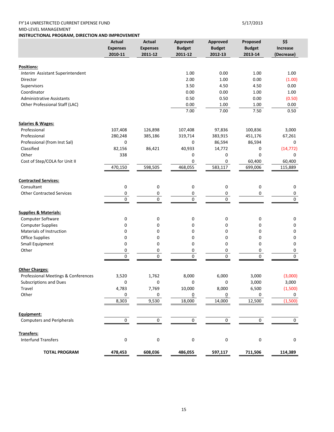### FY'14 UNRESTRICTED CURRENT EXPENSE FUND 5/17/2013 MID‐LEVEL MANAGEMENT

**INSTRUCTIONAL PROGRAM, DIRECTION AND IMPROVEMENT**

|                                     | <b>Actual</b><br><b>Expenses</b><br>2010-11 | <b>Actual</b><br><b>Expenses</b><br>2011-12 | Approved<br><b>Budget</b><br>2011-12 | Approved<br><b>Budget</b><br>2012-13 | Proposed<br><b>Budget</b><br>2013-14 | \$\$<br><b>Increase</b><br>(Decrease) |
|-------------------------------------|---------------------------------------------|---------------------------------------------|--------------------------------------|--------------------------------------|--------------------------------------|---------------------------------------|
|                                     |                                             |                                             |                                      |                                      |                                      |                                       |
| <b>Positions:</b>                   |                                             |                                             |                                      |                                      |                                      |                                       |
| Interim Assistant Superintendent    |                                             |                                             | 1.00                                 | 0.00                                 | 1.00                                 | 1.00                                  |
| Director                            |                                             |                                             | 2.00                                 | 1.00                                 | 0.00                                 | (1.00)                                |
| Supervisors                         |                                             |                                             | 3.50                                 | 4.50                                 | 4.50                                 | 0.00                                  |
| Coordinator                         |                                             |                                             | 0.00                                 | 0.00                                 | 1.00                                 | 1.00                                  |
| <b>Administrative Assistants</b>    |                                             |                                             | 0.50                                 | 0.50                                 | 0.00                                 | (0.50)                                |
| Other Professional Staff (LAC)      |                                             |                                             | 0.00                                 | 1.00                                 | 1.00                                 | 0.00                                  |
|                                     |                                             |                                             | 7.00                                 | 7.00                                 | 7.50                                 | 0.50                                  |
| <b>Salaries &amp; Wages:</b>        |                                             |                                             |                                      |                                      |                                      |                                       |
| Professional                        | 107,408                                     | 126,898                                     | 107,408                              | 97,836                               | 100,836                              | 3,000                                 |
| Professional                        | 280,248                                     | 385,186                                     | 319,714                              | 383,915                              | 451,176                              | 67,261                                |
| Professional (from Inst Sal)        | 0                                           |                                             | 0                                    | 86,594                               | 86,594                               | 0                                     |
| Classified                          | 82,156                                      | 86,421                                      | 40,933                               | 14,772                               | 0                                    | (14, 772)                             |
| Other                               | 338                                         |                                             | 0                                    | 0                                    | 0                                    | 0                                     |
| Cost of Step/COLA for Unit II       |                                             |                                             | 0                                    | 0                                    | 60,400                               | 60,400                                |
|                                     | 470,150                                     | 598,505                                     | 468,055                              | 583,117                              | 699,006                              | 115,889                               |
| <b>Contracted Services:</b>         |                                             |                                             |                                      |                                      |                                      |                                       |
| Consultant                          | 0                                           | 0                                           | 0                                    | 0                                    | 0                                    | 0                                     |
| <b>Other Contracted Services</b>    | 0                                           | 0                                           | 0                                    | 0                                    | 0                                    | 0                                     |
|                                     | 0                                           | 0                                           | 0                                    | $\mathbf 0$                          |                                      | $\mathbf{0}$                          |
| <b>Supplies &amp; Materials:</b>    |                                             |                                             |                                      |                                      |                                      |                                       |
| Computer Software                   | 0                                           | 0                                           | 0                                    | 0                                    | 0                                    | 0                                     |
| <b>Computer Supplies</b>            | 0                                           | 0                                           | 0                                    | 0                                    | $\mathbf 0$                          | 0                                     |
| Materials of Instruction            | 0                                           | 0                                           | 0                                    | 0                                    | 0                                    | 0                                     |
| Office Supplies                     | 0                                           | 0                                           | 0                                    | 0                                    | $\mathbf 0$                          | 0                                     |
| Small Equipment                     | 0                                           | $\mathbf 0$                                 | 0                                    | 0                                    | $\mathbf 0$                          | $\mathbf 0$                           |
| Other                               | 0                                           | 0                                           | 0                                    | 0                                    | 0                                    | 0                                     |
|                                     | 0                                           | 0                                           | 0                                    | $\mathbf 0$                          | $\mathbf 0$                          | $\pmb{0}$                             |
|                                     |                                             |                                             |                                      |                                      |                                      |                                       |
| <b>Other Charges:</b>               |                                             |                                             |                                      |                                      |                                      |                                       |
| Professional Meetings & Conferences | 3,520                                       | 1,762                                       | 8,000                                | 6,000                                | 3,000                                | (3,000)                               |
| Subscriptions and Dues              | U                                           | U                                           | U                                    | U                                    | 3,000                                | 3,000                                 |
| Travel                              | 4,783                                       | 7,769                                       | 10,000                               | 8,000                                | 6,500                                | (1,500)                               |
| Other                               | 0<br>8,303                                  | 0                                           | $\overline{0}$<br>18,000             | $\overline{0}$<br>14,000             | 0<br>12,500                          | 0<br>(1,500)                          |
|                                     |                                             | 9,530                                       |                                      |                                      |                                      |                                       |
| Equipment:                          |                                             |                                             |                                      |                                      |                                      |                                       |
| <b>Computers and Peripherals</b>    | 0                                           | 0                                           | 0                                    | $\mathbf 0$                          | 0                                    | 0                                     |
| Transfers:                          |                                             |                                             |                                      |                                      |                                      |                                       |
| <b>Interfund Transfers</b>          | 0                                           | $\pmb{0}$                                   | 0                                    | $\pmb{0}$                            | 0                                    | 0                                     |
|                                     |                                             |                                             |                                      |                                      |                                      |                                       |
| <b>TOTAL PROGRAM</b>                | 478,453                                     | 608,036                                     | 486,055                              | 597,117                              | 711,506                              | 114,389                               |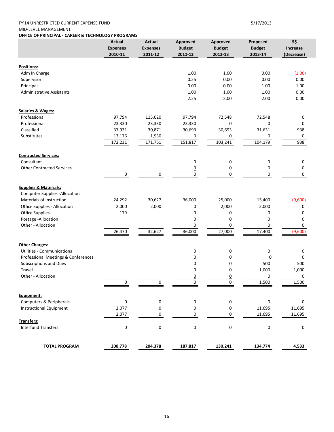### FY'14 UNRESTRICTED CURRENT EXPENSE FUND 5/17/2013 MID‐LEVEL MANAGEMENT

**OFFICE OF PRINCIPAL ‐ CAREER & TECHNOLOGY PROGRAMS**

|                                      | Actual<br><b>Expenses</b><br>2010-11 | <b>Actual</b><br><b>Expenses</b><br>2011-12 | Approved<br><b>Budget</b><br>2011-12 | Approved<br><b>Budget</b><br>2012-13 | Proposed<br><b>Budget</b><br>2013-14 | \$\$<br><b>Increase</b><br>(Decrease) |
|--------------------------------------|--------------------------------------|---------------------------------------------|--------------------------------------|--------------------------------------|--------------------------------------|---------------------------------------|
|                                      |                                      |                                             |                                      |                                      |                                      |                                       |
| Positions:                           |                                      |                                             |                                      |                                      |                                      |                                       |
| Adm In Charge                        |                                      |                                             | 1.00                                 | 1.00                                 | 0.00                                 | (1.00)                                |
| Supervisor                           |                                      |                                             | 0.25                                 | 0.00                                 | 0.00                                 | 0.00                                  |
| Principal                            |                                      |                                             | 0.00                                 | 0.00                                 | 1.00                                 | 1.00                                  |
| <b>Administrative Assistants</b>     |                                      |                                             | 1.00                                 | 1.00                                 | 1.00                                 | 0.00                                  |
|                                      |                                      |                                             | 2.25                                 | 2.00                                 | 2.00                                 | 0.00                                  |
| <b>Salaries &amp; Wages:</b>         |                                      |                                             |                                      |                                      |                                      |                                       |
| Professional                         | 97,794                               | 115,620                                     | 97,794                               | 72,548                               | 72,548                               | 0                                     |
| Professional                         | 23,330                               | 23,330                                      | 23,330                               | 0                                    | 0                                    | 0                                     |
| Classified                           | 37,931                               | 30,871                                      | 30,693                               | 30,693                               | 31,631                               | 938                                   |
| Substitutes                          | 13,176                               | 1,930                                       | 0                                    | 0                                    | 0                                    | 0                                     |
|                                      | 172,231                              | 171,751                                     | 151,817                              | 103,241                              | 104,179                              | 938                                   |
|                                      |                                      |                                             |                                      |                                      |                                      |                                       |
| <b>Contracted Services:</b>          |                                      |                                             |                                      |                                      |                                      |                                       |
| Consultant                           |                                      |                                             | 0                                    | 0                                    | 0                                    | 0                                     |
| <b>Other Contracted Services</b>     |                                      |                                             | $\underline{0}$<br>$\pmb{0}$         | 0<br>0                               | 0<br>0                               | 0<br>0                                |
|                                      | $\mathbf 0$                          | 0                                           |                                      |                                      |                                      |                                       |
| <b>Supplies &amp; Materials:</b>     |                                      |                                             |                                      |                                      |                                      |                                       |
| <b>Computer Supplies -Allocation</b> |                                      |                                             |                                      |                                      |                                      |                                       |
| Materials of Instruction             | 24,292                               | 30,627                                      | 36,000                               | 25,000                               | 15,400                               | (9,600)                               |
| Office Supplies - Allocation         | 2,000                                | 2,000                                       | 0                                    | 2,000                                | 2,000                                | 0                                     |
| <b>Office Supplies</b>               | 179                                  |                                             | 0                                    | 0                                    | 0                                    | 0                                     |
| Postage - Allocation                 |                                      |                                             | 0                                    | 0                                    | 0                                    | 0                                     |
| Other - Allocation                   |                                      |                                             | 0                                    | 0                                    | 0                                    | 0                                     |
|                                      | 26,470                               | 32,627                                      | 36,000                               | 27,000                               | 17,400                               | (9,600)                               |
| <b>Other Charges:</b>                |                                      |                                             |                                      |                                      |                                      |                                       |
| Utilities - Communications           |                                      |                                             | 0                                    | 0                                    | 0                                    | 0                                     |
| Professional Meetings & Conferences  |                                      |                                             | 0                                    | 0                                    | $\Omega$                             | 0                                     |
| Subscriptions and Dues               |                                      |                                             | 0                                    | 0                                    | 500                                  | 500                                   |
| Travel                               |                                      |                                             | 0                                    | 0                                    | 1,000                                | 1,000                                 |
| Other - Allocation                   |                                      |                                             | $\overline{0}$                       | <u>0</u>                             | 0                                    | 0                                     |
|                                      | $\mathbf 0$                          |                                             | 0                                    | 0                                    | 1,500                                | 1,500                                 |
|                                      |                                      |                                             |                                      |                                      |                                      |                                       |
| Equipment:                           |                                      |                                             |                                      |                                      |                                      |                                       |
| Computers & Peripherals              | $\pmb{0}$                            | 0                                           | 0                                    | 0                                    | $\mathbf 0$                          | 0                                     |
| <b>Instructional Equipment</b>       | 2,077                                | 0                                           | 0                                    | 0                                    | 11,695                               | 11,695                                |
| Transfers:                           | 2,077                                | 0                                           | $\mathsf{O}\xspace$                  | 0                                    | 11,695                               | 11,695                                |
| <b>Interfund Transfers</b>           | $\pmb{0}$                            | $\pmb{0}$                                   | 0                                    | $\pmb{0}$                            | $\pmb{0}$                            | 0                                     |
|                                      |                                      |                                             |                                      |                                      |                                      |                                       |
| <b>TOTAL PROGRAM</b>                 | 200,778                              | 204,378                                     | 187,817                              | 130,241                              | 134,774                              | 4,533                                 |
|                                      |                                      |                                             |                                      |                                      |                                      |                                       |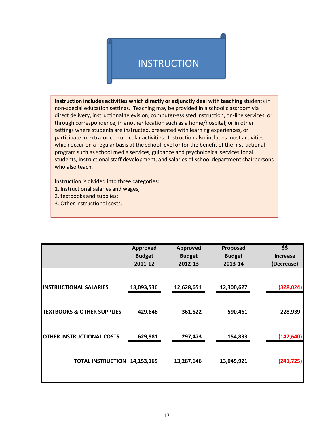# **INSTRUCTION**

**Instruction includes activities which directly or adjunctly deal with teaching** students in non‐special education settings. Teaching may be provided in a school classroom via direct delivery, instructional television, computer-assisted instruction, on-line services, or through correspondence; in another location such as a home/hospital; or in other settings where students are instructed, presented with learning experiences, or participate in extra‐or‐co‐curricular activities. Instruction also includes most activities which occur on a regular basis at the school level or for the benefit of the instructional program such as school media services, guidance and psychological services for all students, instructional staff development, and salaries of school department chairpersons who also teach.

Instruction is divided into three categories:

- 1. Instructional salaries and wages;
- 2. textbooks and supplies;
- 3. Other instructional costs.

|                                       | <b>Approved</b> | <b>Approved</b> | Proposed      | \$\$            |
|---------------------------------------|-----------------|-----------------|---------------|-----------------|
|                                       | <b>Budget</b>   | <b>Budget</b>   | <b>Budget</b> | <b>Increase</b> |
|                                       | 2011-12         | 2012-13         | 2013-14       | (Decrease)      |
|                                       |                 |                 |               |                 |
| <b>INSTRUCTIONAL SALARIES</b>         | 13,093,536      | 12,628,651      | 12,300,627    | (328, 024)      |
| <b>TEXTBOOKS &amp; OTHER SUPPLIES</b> | 429,648         | 361,522         | 590,461       | 228,939         |
| <b>OTHER INSTRUCTIONAL COSTS</b>      | 629,981         | 297,473         | 154,833       | (142, 640)      |
| TOTAL INSTRUCTION 14,153,165          |                 | 13,287,646      | 13,045,921    | (241, 725)      |
|                                       |                 |                 |               |                 |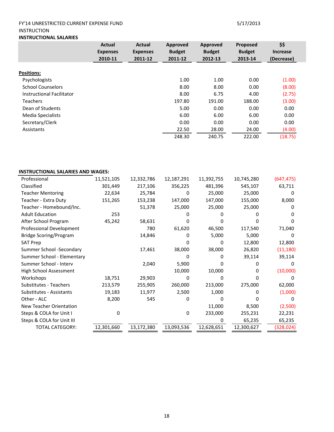### FY'14 UNRESTRICTED CURRENT EXPENSE FUND 5/17/2013 INSTRUCTION **INSTRUCTIONAL SALARIES**

|                           | Actual<br><b>Expenses</b><br>2010-11 | Actual<br><b>Expenses</b><br>2011-12 | Approved<br><b>Budget</b><br>2011-12 | Approved<br><b>Budget</b><br>2012-13 | Proposed<br><b>Budget</b><br>2013-14 | \$\$<br><b>Increase</b><br>(Decrease) |
|---------------------------|--------------------------------------|--------------------------------------|--------------------------------------|--------------------------------------|--------------------------------------|---------------------------------------|
|                           |                                      |                                      |                                      |                                      |                                      |                                       |
| <b>Positions:</b>         |                                      |                                      |                                      |                                      |                                      |                                       |
| Psychologists             |                                      |                                      | 1.00                                 | 1.00                                 | 0.00                                 | (1.00)                                |
| <b>School Counselors</b>  |                                      |                                      | 8.00                                 | 8.00                                 | 0.00                                 | (8.00)                                |
| Instructional Facilitator |                                      |                                      | 8.00                                 | 6.75                                 | 4.00                                 | (2.75)                                |
| <b>Teachers</b>           |                                      |                                      | 197.80                               | 191.00                               | 188.00                               | (3.00)                                |
| Dean of Students          |                                      |                                      | 5.00                                 | 0.00                                 | 0.00                                 | 0.00                                  |
| Media Specialists         |                                      |                                      | 6.00                                 | 6.00                                 | 6.00                                 | 0.00                                  |
| Secretary/Clerk           |                                      |                                      | 0.00                                 | 0.00                                 | 0.00                                 | 0.00                                  |
| Assistants                |                                      |                                      | 22.50                                | 28.00                                | 24.00                                | (4.00)                                |
|                           |                                      |                                      | 248.30                               | 240.75                               | 222.00                               | (18.75)                               |

### **INSTRUCTIONAL SALARIES AND WAGES:**

| Professional                  | 11,521,105 | 12,332,786 | 12,187,291 | 11,392,755 | 10,745,280 | (647, 475)        |
|-------------------------------|------------|------------|------------|------------|------------|-------------------|
| Classified                    | 301,449    | 217,106    | 356,225    | 481,396    | 545,107    | 63,711            |
| <b>Teacher Mentoring</b>      | 22,634     | 25,784     | 0          | 25,000     | 25,000     | O                 |
| Teacher - Extra Duty          | 151,265    | 153,238    | 147,000    | 147,000    | 155,000    | 8,000             |
| Teacher - Homebound/Inc.      |            | 51,378     | 25,000     | 25,000     | 25,000     | O                 |
| <b>Adult Education</b>        | 253        |            |            |            |            | $\mathbf{\Omega}$ |
| After School Program          | 45,242     | 58,631     |            |            |            |                   |
| Professional Development      |            | 780        | 61,620     | 46,500     | 117,540    | 71,040            |
| <b>Bridge Scoring/Program</b> |            | 14,846     | 0          | 5,000      | 5,000      | 0                 |
| <b>SAT Prep</b>               |            |            |            | 0          | 12,800     | 12,800            |
| Summer School -Secondary      |            | 17,461     | 38,000     | 38,000     | 26,820     | (11, 180)         |
| Summer School - Elementary    |            |            |            | O          | 39,114     | 39,114            |
| Summer School - Interv        |            | 2,040      | 5,900      |            |            | O                 |
| <b>High School Assessment</b> |            |            | 10,000     | 10,000     | 0          | (10,000)          |
| Workshops                     | 18,751     | 29,903     | 0          | O          |            |                   |
| Substitutes - Teachers        | 213,579    | 255,905    | 260,000    | 213,000    | 275,000    | 62,000            |
| Substitutes - Assistants      | 19,183     | 11,977     | 2,500      | 1,000      |            | (1,000)           |
| Other - ALC                   | 8,200      | 545        | 0          |            |            |                   |
| New Teacher Orientation       |            |            |            | 11,000     | 8,500      | (2,500)           |
| Steps & COLA for Unit I       | 0          |            | $\Omega$   | 233,000    | 255,231    | 22,231            |
| Steps & COLA for Unit III     |            |            |            | O          | 65,235     | 65,235            |
| <b>TOTAL CATEGORY:</b>        | 12,301,660 | 13,172,380 | 13,093,536 | 12,628,651 | 12,300,627 | (328, 024)        |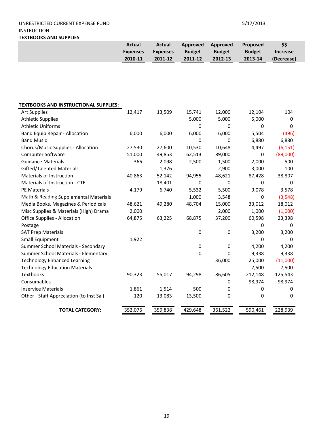### UNRESTRICTED CURRENT EXPENSE FUND 5/17/2013 INSTRUCTION **TEXTBOOKS AND SUPPLIES**

|                                              | <b>Actual</b><br><b>Expenses</b> | <b>Actual</b><br><b>Expenses</b> | Approved<br><b>Budget</b> | <b>Approved</b><br><b>Budget</b> | Proposed<br><b>Budget</b> | \$\$<br><b>Increase</b> |
|----------------------------------------------|----------------------------------|----------------------------------|---------------------------|----------------------------------|---------------------------|-------------------------|
|                                              | 2010-11                          | 2011-12                          | 2011-12                   | 2012-13                          | 2013-14                   | (Decrease)              |
|                                              |                                  |                                  |                           |                                  |                           |                         |
|                                              |                                  |                                  |                           |                                  |                           |                         |
|                                              |                                  |                                  |                           |                                  |                           |                         |
|                                              |                                  |                                  |                           |                                  |                           |                         |
|                                              |                                  |                                  |                           |                                  |                           |                         |
| <b>TEXTBOOKS AND INSTRUCTIONAL SUPPLIES:</b> |                                  |                                  |                           |                                  |                           |                         |
| <b>Art Supplies</b>                          | 12,417                           | 13,509                           | 15,741                    | 12,000                           | 12,104                    | 104                     |
| <b>Athletic Supplies</b>                     |                                  |                                  | 5,000                     | 5,000                            | 5,000                     | 0                       |
| <b>Athletic Uniforms</b>                     |                                  |                                  | 0                         | 0                                | 0                         | 0                       |
| <b>Band Equip Repair - Allocation</b>        | 6,000                            | 6,000                            | 6,000                     | 6,000                            | 5,504                     | (496)                   |
| <b>Band Music</b>                            |                                  |                                  | $\Omega$                  | 0                                | 6,880                     | 6,880                   |
| Chorus/Music Supplies - Allocation           | 27,530                           | 27,600                           | 10,530                    | 10,648                           | 4,497                     | (6, 151)                |
| Computer Software                            | 51,000                           | 49,853                           | 62,513                    | 89,000                           | 0                         | (89,000)                |
| <b>Guidance Materials</b>                    | 366                              | 2,098                            | 2,500                     | 1,500                            | 2,000                     | 500                     |
| <b>Gifted/Talented Materials</b>             |                                  | 1,376                            |                           | 2,900                            | 3,000                     | 100                     |
| Materials of Instruction                     | 40,863                           | 52,142                           | 94,955                    | 48,621                           | 87,428                    | 38,807                  |
| Materials of Instruction - CTE               |                                  | 18,401                           | $\mathbf 0$               | 0                                | 0                         | $\mathbf 0$             |
| PE Materials                                 | 4,179                            | 6,740                            | 5,532                     | 5,500                            | 9,078                     | 3,578                   |
| Math & Reading Supplemental Materials        |                                  |                                  | 1,000                     | 3,548                            | 0                         | (3, 548)                |
| Media Books, Magazines & Periodicals         | 48,621                           | 49,280                           | 48,704                    | 15,000                           | 33,012                    | 18,012                  |
| Misc Supplies & Materials (High) Drama       | 2,000                            |                                  |                           | 2,000                            | 1,000                     | (1,000)                 |
| <b>Office Supplies - Allocation</b>          | 64,875                           | 63,225                           | 68,875                    | 37,200                           | 60,598                    | 23,398                  |
| Postage                                      |                                  |                                  |                           |                                  | 0                         | 0                       |
| <b>SAT Prep Materials</b>                    |                                  |                                  | 0                         | $\pmb{0}$                        | 3,200                     | 3,200                   |
| <b>Small Equipment</b>                       | 1,922                            |                                  |                           |                                  | 0                         | 0                       |
| Summer School Materials - Secondary          |                                  |                                  | $\pmb{0}$                 | 0                                | 4,200                     | 4,200                   |
| Summer School Materials - Elementary         |                                  |                                  | 0                         | 0                                | 9,338                     | 9,338                   |
| <b>Technology Enhanced Learning</b>          |                                  |                                  |                           | 36,000                           | 25,000                    | (11,000)                |
| <b>Technology Education Materials</b>        |                                  |                                  |                           |                                  | 7,500                     | 7,500                   |
| Textbooks                                    | 90,323                           | 55,017                           | 94,298                    | 86,605                           | 212,148                   | 125,543                 |
| Consumables                                  |                                  |                                  |                           | 0                                | 98,974                    | 98,974                  |
| <b>Inservice Materials</b>                   | 1,861                            | 1,514                            | 500                       | 0                                | 0                         | $\pmb{0}$               |
| Other - Staff Appreciation (to Inst Sal)     | 120                              | 13,083                           | 13,500                    | 0                                | 0                         | 0                       |
| <b>TOTAL CATEGORY:</b>                       | 352,076                          | 359,838                          | 429,648                   | 361,522                          | 590,461                   | 228,939                 |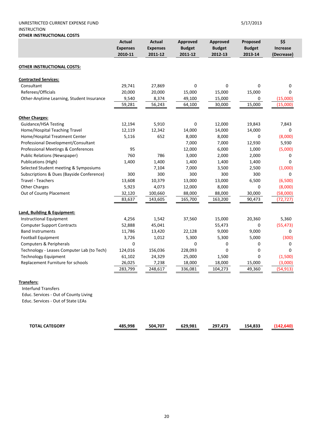### UNRESTRICTED CURRENT EXPENSE FUND 5/17/2013 INSTRUCTION **OTHER INSTRUCTIONAL COSTS**

|                                            | <b>Actual</b><br><b>Expenses</b><br>2010-11 | Actual<br><b>Expenses</b><br>2011-12 | Approved<br><b>Budget</b><br>2011-12 | Approved<br><b>Budget</b><br>2012-13 | Proposed<br><b>Budget</b><br>2013-14 | \$\$<br><b>Increase</b><br>(Decrease) |
|--------------------------------------------|---------------------------------------------|--------------------------------------|--------------------------------------|--------------------------------------|--------------------------------------|---------------------------------------|
| OTHER INSTRUCTIONAL COSTS:                 |                                             |                                      |                                      |                                      |                                      |                                       |
| <b>Contracted Services:</b>                |                                             |                                      |                                      |                                      |                                      |                                       |
| Consultant                                 | 29,741                                      | 27,869                               | 0                                    | $\Omega$                             | 0                                    | $\Omega$                              |
| Referees/Officials                         | 20,000                                      | 20,000                               | 15,000                               | 15,000                               | 15,000                               | $\Omega$                              |
| Other-Anytime Learning, Student Insurance  | 9,540                                       | 8,374                                | 49,100                               | 15,000                               | 0                                    | (15,000)                              |
|                                            | 59,281                                      | 56,243                               | 64,100                               | 30,000                               | 15,000                               | (15,000)                              |
| <b>Other Charges:</b>                      |                                             |                                      |                                      |                                      |                                      |                                       |
| Guidance/HSA Testing                       | 12,194                                      | 5,910                                | 0                                    | 12,000                               | 19,843                               | 7,843                                 |
| Home/Hospital Teaching Travel              | 12,119                                      | 12,342                               | 14,000                               | 14,000                               | 14,000                               | 0                                     |
| Home/Hospital Treatment Center             | 5,116                                       | 652                                  | 8,000                                | 8,000                                | $\mathbf 0$                          | (8,000)                               |
| Professional Development/Consultant        |                                             |                                      | 7,000                                | 7,000                                | 12,930                               | 5,930                                 |
| Professional Meetings & Conferences        | 95                                          |                                      | 12,000                               | 6,000                                | 1,000                                | (5,000)                               |
| <b>Public Relations (Newspaper)</b>        | 760                                         | 786                                  | 3,000                                | 2,000                                | 2,000                                | 0                                     |
| <b>Publications (High)</b>                 | 1,400                                       | 1,400                                | 1,400                                | 1,400                                | 1,400                                | $\Omega$                              |
| Selected Student meeting & Symposiums      |                                             | 7,104                                | 7,000                                | 3,500                                | 2,500                                | (1,000)                               |
| Subscriptions & Dues (Bayside Conference)  | 300                                         | 300                                  | 300                                  | 300                                  | 300                                  | $\Omega$                              |
| <b>Travel - Teachers</b>                   | 13,608                                      | 10,379                               | 13,000                               | 13,000                               | 6,500                                | (6,500)                               |
| <b>Other Charges</b>                       | 5,923                                       | 4,073                                | 12,000                               | 8,000                                | $\mathbf 0$                          | (8,000)                               |
| Out of County Placement                    | 32,120                                      | 100,660                              | 88,000                               | 88,000                               | 30,000                               | (58,000)                              |
|                                            | 83,637                                      | 143,605                              | 165,700                              | 163,200                              | 90,473                               | (72, 727)                             |
| Land, Building & Equipment:                |                                             |                                      |                                      |                                      |                                      |                                       |
| <b>Instructional Equipment</b>             | 4,256                                       | 1,542                                | 37,560                               | 15,000                               | 20,360                               | 5,360                                 |
| <b>Computer Support Contracts</b>          | 52,888                                      | 45,041                               |                                      | 55,473                               | 0                                    | (55, 473)                             |
| <b>Band Instruments</b>                    | 11,786                                      | 13,420                               | 22,128                               | 9,000                                | 9,000                                | 0                                     |
| <b>Football Equipment</b>                  | 3,726                                       | 1,012                                | 5,300                                | 5,300                                | 5,000                                | (300)                                 |
| <b>Computers &amp; Peripherals</b>         | 0                                           |                                      | 0                                    | 0                                    | 0                                    | 0                                     |
| Technology - Leases Computer Lab (to Tech) | 124,016                                     | 156,036                              | 228,093                              | $\Omega$                             | 0                                    | $\Omega$                              |
| <b>Technology Equipment</b>                | 61,102                                      | 24,329                               | 25,000                               | 1,500                                | 0                                    | (1,500)                               |
| Replacement Furniture for schools          | 26,025                                      | 7,238                                | 18,000                               | 18,000                               | 15,000                               | (3,000)                               |
|                                            | 283,799                                     | 248,617                              | 336,081                              | 104,273                              | 49,360                               | (54, 913)                             |

### **Transfers:**

 Interfund Transfers Educ. Services ‐ Out of County Living Educ. Services ‐ Out of State LEAs

| <b>TOTAL CATEGORY</b> | 485.998<br>485 | 504.707 | 629.981 | 207<br>.473 | 154.833 |  |
|-----------------------|----------------|---------|---------|-------------|---------|--|
|                       |                |         |         |             |         |  |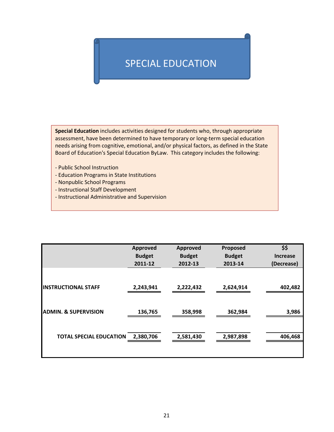# SPECIAL EDUCATION

**Special Education** includes activities designed for students who, through appropriate assessment, have been determined to have temporary or long-term special education needs arising from cognitive, emotional, and/or physical factors, as defined in the State Board of Education's Special Education ByLaw. This category includes the following:

- ‐ Public School Instruction
- ‐ Education Programs in State Institutions
- ‐ Nonpublic School Programs
- ‐ Instructional Staff Development
- ‐ Instructional Administrative and Supervision

|                                 | Approved                 | Approved                 | Proposed                 | \$\$                          |
|---------------------------------|--------------------------|--------------------------|--------------------------|-------------------------------|
|                                 | <b>Budget</b><br>2011-12 | <b>Budget</b><br>2012-13 | <b>Budget</b><br>2013-14 | <b>Increase</b><br>(Decrease) |
|                                 |                          |                          |                          |                               |
| <b>INSTRUCTIONAL STAFF</b>      | 2,243,941                | 2,222,432                | 2,624,914                | 402,482                       |
|                                 |                          |                          |                          |                               |
| <b>ADMIN. &amp; SUPERVISION</b> | 136,765                  | 358,998                  | 362,984                  | 3,986                         |
|                                 |                          |                          |                          |                               |
| <b>TOTAL SPECIAL EDUCATION</b>  | 2,380,706                | 2,581,430                | 2,987,898                | 406,468                       |
|                                 |                          |                          |                          |                               |
|                                 |                          |                          |                          |                               |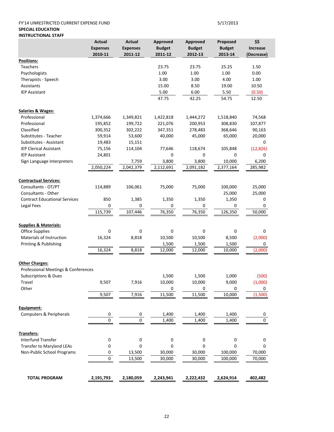### FY'14 UNRESTRICTED CURRENT EXPENSE FUND 5/17/2013 **SPECIAL EDUCATION INSTRUCTIONAL STAFF**

|                                      | Actual<br><b>Expenses</b><br>2010-11 | <b>Actual</b><br><b>Expenses</b><br>2011-12 | <b>Approved</b><br><b>Budget</b><br>2011-12 | Approved<br><b>Budget</b><br>2012-13 | Proposed<br><b>Budget</b><br>2013-14 | \$\$<br><b>Increase</b><br>(Decrease) |
|--------------------------------------|--------------------------------------|---------------------------------------------|---------------------------------------------|--------------------------------------|--------------------------------------|---------------------------------------|
| Positions:                           |                                      |                                             |                                             |                                      |                                      |                                       |
| <b>Teachers</b>                      |                                      |                                             | 23.75                                       | 23.75                                | 25.25                                | 1.50                                  |
| Psychologists                        |                                      |                                             | 1.00                                        | 1.00                                 | 1.00                                 | 0.00                                  |
| Therapists - Speech                  |                                      |                                             | 3.00                                        | 3.00                                 | 4.00                                 | 1.00                                  |
| Assistants                           |                                      |                                             | 15.00                                       | 8.50                                 | 19.00                                | 10.50                                 |
| <b>IEP Assistant</b>                 |                                      |                                             | 5.00                                        | 6.00                                 | 5.50                                 | (0.50)                                |
|                                      |                                      |                                             | 47.75                                       | 42.25                                | 54.75                                | 12.50                                 |
| <b>Salaries &amp; Wages:</b>         |                                      |                                             |                                             |                                      |                                      |                                       |
| Professional                         | 1,374,666                            | 1,349,821                                   | 1,422,818                                   | 1,444,272                            | 1,518,840                            | 74,568                                |
| Professional                         | 195,852                              | 199,722                                     | 221,076                                     | 200,953                              | 308,830                              | 107,877                               |
| Classified                           | 300,352                              | 302,222                                     | 347,351                                     | 278,483                              | 368,646                              | 90,163                                |
| Substitutes - Teacher                | 59,914                               | 53,600                                      | 40,000                                      | 45,000                               | 65,000                               | 20,000                                |
| Substitutes - Assistant              | 19,483                               | 15,151                                      |                                             |                                      |                                      | 0                                     |
| <b>IEP Clerical Assistant</b>        | 75,156                               | 114,104                                     | 77,646                                      | 118,674                              | 105,848                              | (12, 826)                             |
| <b>IEP Assistant</b>                 | 24,801                               |                                             | 0                                           | 0                                    | 0                                    | 0                                     |
| Sign Language Interpreters           |                                      | 7,759                                       | 3,800                                       | 3,800                                | 10,000                               | 6,200                                 |
|                                      | 2,050,224                            | 2,042,379                                   | 2,112,691                                   | 2,091,182                            | 2,377,164                            | 285,982                               |
|                                      |                                      |                                             |                                             |                                      |                                      |                                       |
| <b>Contractual Services:</b>         |                                      |                                             |                                             |                                      |                                      |                                       |
| Consultants - OT/PT                  | 114,889                              | 106,061                                     | 75,000                                      | 75,000                               | 100,000                              | 25,000                                |
| Consultants - Other                  |                                      |                                             |                                             |                                      | 25,000                               | 25,000                                |
| <b>Contract Educational Services</b> | 850                                  | 1,385                                       | 1,350                                       | 1,350                                | 1,350                                | 0                                     |
| Legal Fees                           | 0                                    | 0                                           | 0                                           | 0                                    | 0                                    | 0                                     |
|                                      | 115,739                              | 107,446                                     | 76,350                                      | 76,350                               | 126,350                              | 50,000                                |
| <b>Supplies &amp; Materials:</b>     |                                      |                                             |                                             |                                      |                                      |                                       |
| <b>Office Supplies</b>               | 0                                    | 0                                           | 0                                           | 0                                    | 0                                    | 0                                     |
| Materials of Instruction             | 16,324                               | 8,818                                       | 10,500                                      | 10,500                               | 8,500                                | (2,000)                               |
| Printing & Publishing                |                                      |                                             | 1,500                                       | 1,500                                | 1,500                                | 0                                     |
|                                      | 16,324                               | 8,818                                       | 12,000                                      | 12,000                               | 10,000                               | (2,000)                               |
| <b>Other Charges:</b>                |                                      |                                             |                                             |                                      |                                      |                                       |
| Professional Meetings & Conferences  |                                      |                                             |                                             |                                      |                                      |                                       |
| <b>Subscriptions &amp; Dues</b>      |                                      |                                             | 1,500                                       | 1,500                                | 1,000                                | (500)                                 |
| Travel                               | 9,507                                | 7,916                                       | 10,000                                      | 10,000                               | 9,000                                | (1,000)                               |
| Other                                |                                      |                                             | 0                                           | 0                                    | 0                                    | 0                                     |
|                                      | 9,507                                | 7,916                                       | 11,500                                      | 11,500                               | 10,000                               | (1,500)                               |
| Equipment:                           |                                      |                                             |                                             |                                      |                                      |                                       |
| Computers & Peripherals              | 0                                    | 0                                           | 1,400                                       | 1,400                                | 1,400                                | 0                                     |
|                                      | $\overline{0}$                       | $\overline{0}$                              | 1,400                                       | 1,400                                | 1,400                                | 0                                     |
| Transfers:                           |                                      |                                             |                                             |                                      |                                      |                                       |
| Interfund Transfer                   | 0                                    | 0                                           | $\pmb{0}$                                   | 0                                    | 0                                    | 0                                     |
| <b>Transfer to Maryland LEAs</b>     | 0                                    | 0                                           | 0                                           | 0                                    | 0                                    | 0                                     |
| Non-Public School Programs           | 0                                    | 13,500                                      | 30,000                                      | 30,000                               | 100,000                              | 70,000                                |
|                                      | 0                                    | 13,500                                      | 30,000                                      | 30,000                               | 100,000                              | 70,000                                |
|                                      |                                      |                                             |                                             |                                      |                                      |                                       |
| <b>TOTAL PROGRAM</b>                 | 2,191,793                            | 2,180,059                                   | 2,243,941                                   | 2,222,432                            | 2,624,914                            | 402,482                               |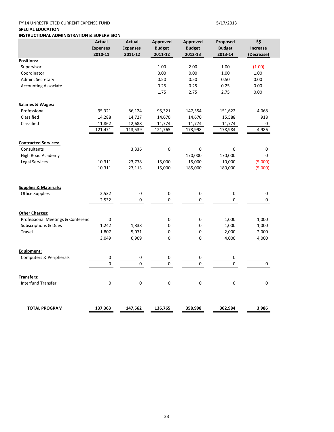### FY'14 UNRESTRICTED CURRENT EXPENSE FUND 5/17/2013

### **SPECIAL EDUCATION**

**INSTRUCTIONAL ADMINISTRATION & SUPERVISION**

|                                   | <b>Actual</b><br><b>Expenses</b><br>2010-11 | <b>Actual</b><br><b>Expenses</b><br>2011-12 | <b>Approved</b><br><b>Budget</b><br>2011-12 | Approved<br><b>Budget</b><br>2012-13 | Proposed<br><b>Budget</b><br>2013-14 | \$\$<br><b>Increase</b><br>(Decrease) |
|-----------------------------------|---------------------------------------------|---------------------------------------------|---------------------------------------------|--------------------------------------|--------------------------------------|---------------------------------------|
| Positions:                        |                                             |                                             |                                             |                                      |                                      |                                       |
| Supervisor                        |                                             |                                             | 1.00                                        | 2.00                                 | 1.00                                 | (1.00)                                |
| Coordinator                       |                                             |                                             | 0.00                                        | 0.00                                 | 1.00                                 | 1.00                                  |
| Admin. Secretary                  |                                             |                                             | 0.50                                        | 0.50                                 | 0.50                                 | 0.00                                  |
| <b>Accounting Associate</b>       |                                             |                                             | 0.25                                        | 0.25                                 | 0.25                                 | 0.00                                  |
|                                   |                                             |                                             | 1.75                                        | 2.75                                 | 2.75                                 | 0.00                                  |
| <b>Salaries &amp; Wages:</b>      |                                             |                                             |                                             |                                      |                                      |                                       |
| Professional                      | 95,321                                      | 86,124                                      | 95,321                                      | 147,554                              | 151,622                              | 4,068                                 |
| Classified                        | 14,288                                      | 14,727                                      | 14,670                                      | 14,670                               | 15,588                               | 918                                   |
| Classified                        | 11,862                                      | 12,688                                      | 11,774                                      | 11,774                               | 11,774                               | 0                                     |
|                                   | 121,471                                     | 113,539                                     | 121,765                                     | 173,998                              | 178,984                              | 4,986                                 |
| <b>Contracted Services:</b>       |                                             |                                             |                                             |                                      |                                      |                                       |
| Consultants                       |                                             | 3,336                                       | 0                                           | 0                                    | 0                                    | 0                                     |
| <b>High Road Academy</b>          |                                             |                                             |                                             | 170,000                              | 170,000                              | 0                                     |
| <b>Legal Services</b>             | 10,311                                      | 23,778                                      | 15,000                                      | 15,000                               | 10,000                               | (5,000)                               |
|                                   | 10,311                                      | 27,113                                      | 15,000                                      | 185,000                              | 180,000                              | (5,000)                               |
|                                   |                                             |                                             |                                             |                                      |                                      |                                       |
| <b>Supplies &amp; Materials:</b>  |                                             |                                             |                                             |                                      |                                      |                                       |
| <b>Office Supplies</b>            | 2,532                                       | 0                                           | 0                                           | 0                                    | 0                                    | 0                                     |
|                                   | 2,532                                       | $\pmb{0}$                                   | 0                                           | $\mathsf{O}\xspace$                  | $\pmb{0}$                            | $\pmb{0}$                             |
| <b>Other Charges:</b>             |                                             |                                             |                                             |                                      |                                      |                                       |
| Professional Meetings & Conferenc | $\mathbf 0$                                 |                                             | 0                                           | 0                                    | 1,000                                | 1,000                                 |
| <b>Subscriptions &amp; Dues</b>   | 1,242                                       | 1,838                                       | 0                                           | 0                                    | 1,000                                | 1,000                                 |
| <b>Travel</b>                     | 1,807                                       | 5,071                                       | 0                                           | 0                                    | 2,000                                | 2,000                                 |
|                                   | 3,049                                       | 6,909                                       | 0                                           | 0                                    | 4,000                                | 4,000                                 |
| Equipment:                        |                                             |                                             |                                             |                                      |                                      |                                       |
| Computers & Peripherals           | $\pmb{0}$                                   | 0                                           | 0                                           | 0                                    | 0                                    |                                       |
|                                   | $\Omega$                                    | 0                                           | 0                                           | $\Omega$                             | $\Omega$                             | 0                                     |
| <b>Transfers:</b>                 |                                             |                                             |                                             |                                      |                                      |                                       |
| <b>Interfund Transfer</b>         | $\mathbf 0$                                 | 0                                           | 0                                           | $\mathbf 0$                          | $\mathbf 0$                          | 0                                     |
| <b>TOTAL PROGRAM</b>              | 137,363                                     | 147,562                                     | 136,765                                     | 358,998                              | 362,984                              | 3,986                                 |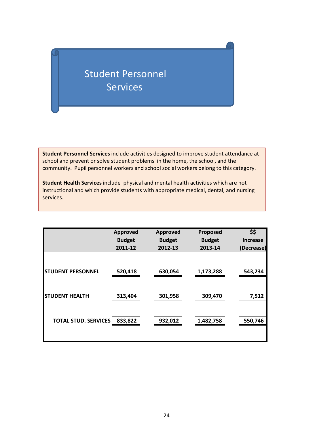# Student Personnel **Services**

**Student Personnel Services** include activities designed to improve student attendance at school and prevent or solve student problems in the home, the school, and the community. Pupil personnel workers and school social workers belong to this category.

**Student Health Services** include physical and mental health activities which are not instructional and which provide students with appropriate medical, dental, and nursing services.

|                             | <b>Approved</b> | <b>Approved</b> | Proposed      | \$\$            |
|-----------------------------|-----------------|-----------------|---------------|-----------------|
|                             | <b>Budget</b>   | <b>Budget</b>   | <b>Budget</b> | <b>Increase</b> |
|                             | 2011-12         | 2012-13         | 2013-14       | (Decrease)      |
| <b>STUDENT PERSONNEL</b>    | 520,418         | 630,054         | 1,173,288     | 543,234         |
| <b>STUDENT HEALTH</b>       | 313,404         | 301,958         | 309,470       | 7,512           |
| <b>TOTAL STUD. SERVICES</b> | 833,822         | 932,012         | 1,482,758     | 550,746         |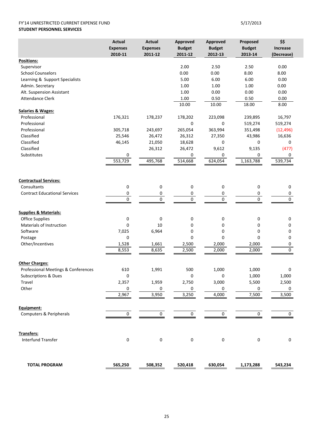### FY'14 UNRESTRICTED CURRENT EXPENSE FUND 5/17/2013 **STUDENT PERSONNEL SERVICES**

|                                      | <b>Actual</b>   | <b>Actual</b>   | <b>Approved</b> | <b>Approved</b> | Proposed       | \$\$            |
|--------------------------------------|-----------------|-----------------|-----------------|-----------------|----------------|-----------------|
|                                      | <b>Expenses</b> | <b>Expenses</b> | <b>Budget</b>   | <b>Budget</b>   | <b>Budget</b>  | <b>Increase</b> |
|                                      | 2010-11         | 2011-12         | 2011-12         | 2012-13         | 2013-14        | (Decrease)      |
| Positions:                           |                 |                 |                 |                 |                |                 |
| Supervisor                           |                 |                 | 2.00            | 2.50            | 2.50           | 0.00            |
| <b>School Counselors</b>             |                 |                 | 0.00            | 0.00            | 8.00           | 8.00            |
| Learning & Support Specialists       |                 |                 | 5.00            | 6.00            | 6.00           | 0.00            |
| Admin. Secretary                     |                 |                 | 1.00            | 1.00            | 1.00           | 0.00            |
| Alt. Suspension Assistant            |                 |                 | 1.00            | 0.00            | 0.00           | 0.00            |
| <b>Attendance Clerk</b>              |                 |                 | 1.00            | 0.50            | 0.50           | 0.00            |
|                                      |                 |                 | 10.00           | 10.00           | 18.00          | 8.00            |
| <b>Salaries &amp; Wages:</b>         |                 |                 |                 |                 |                |                 |
| Professional                         | 176,321         | 178,237         | 178,202         | 223,098         | 239,895        | 16,797          |
| Professional                         |                 |                 | 0               | 0               | 519,274        | 519,274         |
| Professional                         | 305,718         | 243,697         | 265,054         | 363,994         | 351,498        | (12, 496)       |
| Classified                           | 25,546          | 26,472          | 26,312          | 27,350          | 43,986         | 16,636          |
| Classified                           | 46,145          | 21,050          | 18,628          | 0               | 0              | 0               |
| Classified                           |                 | 26,312          | 26,472          | 9,612           | 9,135          | (477)           |
| Substitutes                          | 0               |                 | 0               | 0               | 0              | 0               |
|                                      | 553,729         | 495,768         | 514,668         | 624,054         | 1,163,788      | 539,734         |
|                                      |                 |                 |                 |                 |                |                 |
|                                      |                 |                 |                 |                 |                |                 |
| <b>Contractual Services:</b>         |                 |                 |                 |                 |                |                 |
| Consultants                          | 0               | 0               | 0               | 0               | 0              | 0               |
| <b>Contract Educational Services</b> | 0               | 0               | 0               | 0               | 0              | 0               |
|                                      | $\overline{0}$  | $\overline{0}$  | $\overline{0}$  | $\overline{0}$  | $\overline{0}$ | $\mathbf 0$     |
|                                      |                 |                 |                 |                 |                |                 |
| <b>Supplies &amp; Materials:</b>     |                 |                 |                 |                 |                |                 |
| Office Supplies                      | $\pmb{0}$       | 0               | 0               | 0               | 0              | 0               |
| Materials of Instruction             | 0               | 10              | 0               | 0               | 0              | 0               |
| Software                             | 7,025           | 6,964           | 0               | 0               | 0              | 0               |
| Postage                              | 0               |                 | $\mathbf 0$     | $\mathbf 0$     | 0              | 0               |
| Other/Incentives                     | 1,528           | 1,661           | 2,500           | 2,000           | 2,000          | 0               |
|                                      | 8,553           | 8,635           | 2,500           | 2,000           | 2,000          | 0               |
|                                      |                 |                 |                 |                 |                |                 |
| <b>Other Charges:</b>                |                 |                 |                 |                 |                |                 |
| Professional Meetings & Conferences  | 610             | 1,991           | 500             | 1,000           | 1,000          | 0               |
| <b>Subscriptions &amp; Dues</b>      | $\pmb{0}$       |                 | 0               | 0               | 1,000          | 1,000           |
| Travel                               | 2,357           | 1.959           | 2,750           | 3,000           | 5,500          | 2,500           |
|                                      |                 |                 |                 |                 |                |                 |
| Other                                | 0               | 0               | 0               | 0               | 0              | 0               |
|                                      | 2,967           | 3,950           | 3,250           | 4,000           | 7,500          | 3,500           |
|                                      |                 |                 |                 |                 |                |                 |
| Equipment:                           |                 |                 |                 |                 |                |                 |
| Computers & Peripherals              | 0               | 0               | $\mathbf 0$     | 0               | 0              | 0               |
|                                      |                 |                 |                 |                 |                |                 |
|                                      |                 |                 |                 |                 |                |                 |
| Transfers:                           |                 |                 |                 |                 |                |                 |
| <b>Interfund Transfer</b>            | $\pmb{0}$       | $\pmb{0}$       | $\pmb{0}$       | $\pmb{0}$       | 0              | 0               |
|                                      |                 |                 |                 |                 |                |                 |
|                                      |                 |                 |                 |                 |                |                 |
|                                      |                 |                 |                 |                 |                |                 |
| <b>TOTAL PROGRAM</b>                 | 565,250         | 508,352         | 520,418         | 630,054         | 1,173,288      | 543,234         |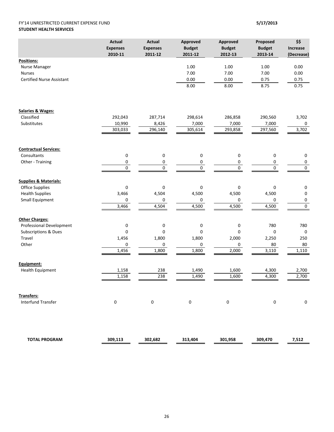### FY'14 UNRESTRICTED CURRENT EXPENSE FUND **5/17/2013 STUDENT HEALTH SERVICES**

|                                  | <b>Actual</b>   | <b>Actual</b>    | Approved         | <b>Approved</b>             | Proposed      | \$\$                   |
|----------------------------------|-----------------|------------------|------------------|-----------------------------|---------------|------------------------|
|                                  | <b>Expenses</b> | <b>Expenses</b>  | <b>Budget</b>    | <b>Budget</b>               | <b>Budget</b> | Increase               |
|                                  | 2010-11         | 2011-12          | 2011-12          | 2012-13                     | 2013-14       | (Decrease)             |
| Positions:                       |                 |                  |                  |                             |               |                        |
| Nurse Manager                    |                 |                  | 1.00             | 1.00                        | 1.00          | 0.00                   |
| <b>Nurses</b>                    |                 |                  | 7.00             | 7.00                        | 7.00          | 0.00                   |
| <b>Certified Nurse Assistant</b> |                 |                  | 0.00             | 0.00                        | 0.75          | 0.75                   |
|                                  |                 |                  | 8.00             | 8.00                        | 8.75          | 0.75                   |
|                                  |                 |                  |                  |                             |               |                        |
| <b>Salaries &amp; Wages:</b>     |                 |                  |                  |                             |               |                        |
| Classified                       | 292,043         | 287,714          | 298,614          | 286,858                     | 290,560       | 3,702                  |
| Substitutes                      | 10,990          | 8,426            | 7,000            | 7,000                       | 7,000         | 0                      |
|                                  | 303,033         | 296,140          | 305,614          | 293,858                     | 297,560       | 3,702                  |
| <b>Contractual Services:</b>     |                 |                  |                  |                             |               |                        |
| Consultants                      | 0               | $\mathbf 0$      | 0                |                             | 0             |                        |
| Other - Training                 |                 |                  |                  | 0                           |               | 0                      |
|                                  | 0               | 0<br>$\mathbf 0$ | 0<br>$\mathbf 0$ | $\pmb{0}$<br>$\overline{0}$ | 0<br>0        | $\pmb{0}$<br>$\pmb{0}$ |
|                                  | 0               |                  |                  |                             |               |                        |
| <b>Supplies &amp; Materials:</b> |                 |                  |                  |                             |               |                        |
| <b>Office Supplies</b>           | 0               | $\pmb{0}$        | 0                | 0                           | 0             | 0                      |
| <b>Health Supplies</b>           | 3,466           | 4,504            | 4,500            | 4,500                       | 4,500         | $\pmb{0}$              |
| Small Equipment                  | 0               | 0                | 0                | 0                           | 0             | 0                      |
|                                  | 3,466           | 4,504            | 4,500            | 4,500                       | 4,500         | $\overline{0}$         |
| <b>Other Charges:</b>            |                 |                  |                  |                             |               |                        |
| Professional Development         | 0               | 0                | 0                | $\pmb{0}$                   | 780           | 780                    |
| <b>Subscriptions &amp; Dues</b>  | 0               | $\pmb{0}$        | 0                | $\mathbf 0$                 | $\mathbf 0$   | $\pmb{0}$              |
| Travel                           | 1,456           | 1,800            | 1,800            | 2,000                       | 2,250         | 250                    |
| Other                            | 0               | 0                | 0                | 0                           | 80            | 80                     |
|                                  | 1,456           | 1,800            | 1,800            | 2,000                       | 3,110         | 1,110                  |
| Equipment:                       |                 |                  |                  |                             |               |                        |
| Health Equipment                 | 1,158           | 238              | 1,490            | 1,600                       | 4,300         | 2,700                  |
|                                  | 1,158           | 238              | 1,490            | 1,600                       | 4,300         | 2,700                  |
|                                  |                 |                  |                  |                             |               |                        |
| <b>Transfers:</b>                |                 |                  |                  |                             |               |                        |
| <b>Interfund Transfer</b>        | 0               | $\mathbf 0$      | $\mathbf 0$      | $\mathbf 0$                 | $\mathbf 0$   | 0                      |
|                                  |                 |                  |                  |                             |               |                        |
| <b>TOTAL PROGRAM</b>             | 309,113         | 302,682          | 313,404          | 301,958                     | 309,470       | 7,512                  |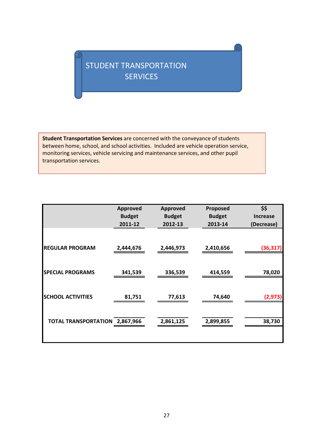## STUDENT TRANSPORTATION SERVICES

**Student Transportation Services** are concerned with the conveyance of students between home, school, and school activities. Included are vehicle operation service, monitoring services, vehicle servicing and maintenance services, and other pupil transportation services.

|                             | <b>Approved</b> | <b>Approved</b> | Proposed      | \$\$            |
|-----------------------------|-----------------|-----------------|---------------|-----------------|
|                             | <b>Budget</b>   | <b>Budget</b>   | <b>Budget</b> | <b>Increase</b> |
|                             | 2011-12         | 2012-13         | 2013-14       | (Decrease)      |
| <b>REGULAR PROGRAM</b>      | 2,444,676       | 2,446,973       | 2,410,656     | (36, 317)       |
| <b>SPECIAL PROGRAMS</b>     | 341,539         | 336,539         | 414,559       | 78,020          |
| <b>SCHOOL ACTIVITIES</b>    | 81,751          | 77,613          | 74,640        | (2, 973)        |
| <b>TOTAL TRANSPORTATION</b> | 2,867,966       | 2,861,125       | 2,899,855     | 38,730          |
|                             |                 |                 |               |                 |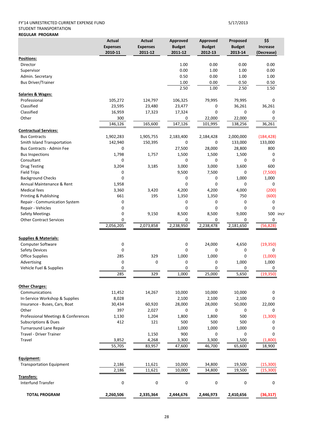### FY'14 UNRESTRICTED CURRENT EXPENSE FUND 5/17/2013

### STUDENT TRANSPORTATION **REGULAR PROGRAM**

|                                              | <b>Actual</b><br><b>Expenses</b><br>2010-11 | <b>Actual</b><br><b>Expenses</b><br>2011-12 | Approved<br><b>Budget</b><br>2011-12 | Approved<br><b>Budget</b><br>2012-13 | Proposed<br><b>Budget</b><br>2013-14 | \$\$<br>Increase<br>(Decrease) |
|----------------------------------------------|---------------------------------------------|---------------------------------------------|--------------------------------------|--------------------------------------|--------------------------------------|--------------------------------|
| <b>Positions:</b>                            |                                             |                                             |                                      |                                      |                                      |                                |
| Director                                     |                                             |                                             | 1.00                                 | 0.00                                 | 0.00                                 | 0.00                           |
| Supervisor                                   |                                             |                                             | 0.00                                 | 1.00                                 | 1.00                                 | 0.00                           |
| Admin. Secretary                             |                                             |                                             | 0.50                                 | 0.00                                 | 1.00                                 | 1.00                           |
| <b>Bus Driver/Trainer</b>                    |                                             |                                             | 1.00                                 | 0.00                                 | 0.50                                 | 0.50                           |
|                                              |                                             |                                             | 2.50                                 | 1.00                                 | 2.50                                 | 1.50                           |
| <b>Salaries &amp; Wages:</b><br>Professional | 105,272                                     | 124,797                                     | 106,325                              | 79,995                               | 79,995                               | $\mathbf 0$                    |
| Classified                                   | 23,595                                      | 23,480                                      | 23,477                               | 0                                    | 36,261                               | 36,261                         |
| Classified                                   |                                             |                                             |                                      | $\mathbf 0$                          | 0                                    | 0                              |
| Other                                        | 16,959<br>300                               | 17,323                                      | 17,324<br>0                          | 22,000                               |                                      | 0                              |
|                                              | 146,126                                     | 165,600                                     | 147,126                              | 101,995                              | 22,000<br>138,256                    | 36,261                         |
| <b>Contractual Services:</b>                 |                                             |                                             |                                      |                                      |                                      |                                |
| <b>Bus Contracts</b>                         | 1,902,283                                   | 1,905,755                                   | 2,183,400                            | 2,184,428                            | 2,000,000                            | (184, 428)                     |
| Smith Island Transportation                  | 142,940                                     | 150,395                                     | 0                                    | 0                                    | 133,000                              | 133,000                        |
| <b>Bus Contracts - Admin Fee</b>             | 0                                           |                                             | 27,500                               | 28,000                               | 28,800                               | 800                            |
| <b>Bus Inspections</b>                       | 1,798                                       | 1,757                                       | 1,500                                | 1,500                                | 1,500                                | 0                              |
| Consultant                                   | 0                                           |                                             | 0                                    | 0                                    | 0                                    | $\mathbf 0$                    |
| <b>Drug Testing</b>                          | 3,204                                       | 3,185                                       | 3,000                                | 3,000                                | 3,600                                | 600                            |
| <b>Field Trips</b>                           | 0                                           |                                             | 9,500                                | 7,500                                | 0                                    | (7,500)                        |
| <b>Background Checks</b>                     | $\mathbf 0$                                 |                                             | 0                                    | $\mathbf 0$                          | 1,000                                | 1,000                          |
| Annual Maintenance & Rent                    | 1,958                                       |                                             | 0                                    | 0                                    | 0                                    | 0                              |
| <b>Medical fees</b>                          | 3,360                                       | 3,420                                       | 4,200                                | 4,200                                | 4,000                                | (200)                          |
| Printing & Publishing                        | 661                                         | 195                                         | 1,350                                | 1,350                                | 750                                  | (600)                          |
| Repair - Communication System                | 0                                           |                                             | 0                                    | 0                                    | $\mathbf 0$                          | 0                              |
| Repair - Vehicles                            | 0                                           |                                             | 0                                    | $\mathbf 0$                          | 0                                    | 0                              |
| <b>Safety Meetings</b>                       | 0                                           | 9,150                                       | 8,500                                | 8,500                                | 9,000                                | 500 incr                       |
| <b>Other Contract Services</b>               | 0                                           |                                             | 0                                    | 0                                    | 0                                    | 0                              |
|                                              | 2,056,205                                   | 2,073,858                                   | 2,238,950                            | 2,238,478                            | 2,181,650                            | (56, 828)                      |
| <b>Supplies &amp; Materials:</b>             |                                             |                                             |                                      |                                      |                                      |                                |
| <b>Computer Software</b>                     | 0                                           |                                             | 0                                    | 24,000                               | 4,650                                | (19, 350)                      |
| <b>Safety Devices</b>                        | $\mathbf 0$                                 |                                             | $\Omega$                             | 0                                    | 0                                    | 0                              |
| Office Supplies                              | 285                                         | 329                                         | 1,000                                | 1,000                                | 0                                    | (1,000)                        |
| Advertising                                  | $\mathbf 0$                                 | $\mathbf 0$                                 | 0                                    | 0                                    | 1,000                                | 1,000                          |
| Vehicle Fuel & Supplies                      | 0                                           |                                             | 0                                    | $\mathbf 0$                          | 0                                    | 0                              |
|                                              | 285                                         | 329                                         | 1,000                                | 25,000                               | 5,650                                | (19, 350)                      |
|                                              |                                             |                                             |                                      |                                      |                                      |                                |
| <b>Other Charges:</b><br>Communications      | 11,452                                      | 14,267                                      | 10,000                               | 10,000                               | 10,000                               | 0                              |
| In-Service Workshop & Supplies               | 8,028                                       |                                             | 2,100                                | 2,100                                | 2,100                                | $\mathbf 0$                    |
| Insurance - Buses, Cars, Boat                | 30,434                                      | 60,920                                      | 28,000                               | 28,000                               | 50,000                               | 22,000                         |
| Other                                        | 397                                         | 2,027                                       | 0                                    | 0                                    | 0                                    | 0                              |
| Professional Meetings & Conferences          | 1,130                                       | 1,204                                       | 1,800                                | 1,800                                | 500                                  | (1, 300)                       |
| Subscriptions & Dues                         | 412                                         | 121                                         | 500                                  | 500                                  | 500                                  | 0                              |
| <b>Turnaround Lane Repair</b>                |                                             |                                             | 1,000                                | 1,000                                | 1,000                                | 0                              |
| Travel - Driver Trainer                      |                                             | 1,150                                       | 900                                  | 0                                    | 0                                    | 0                              |
| Travel                                       | 3,852                                       | 4,268                                       | 3,300                                | 3,300                                | 1,500                                | (1,800)                        |
|                                              | 55,705                                      | 83,957                                      | 47,600                               | 46,700                               | 65,600                               | 18,900                         |
|                                              |                                             |                                             |                                      |                                      |                                      |                                |
| Equipment:                                   |                                             |                                             |                                      |                                      |                                      |                                |
| <b>Transportation Equipment</b>              | 2,186<br>2,186                              | 11,621<br>11,621                            | 10,000<br>10,000                     | 34,800<br>34,800                     | 19,500<br>19,500                     | (15,300)<br>(15,300)           |
| Transfers:                                   |                                             |                                             |                                      |                                      |                                      |                                |
| Interfund Transfer                           | $\pmb{0}$                                   | $\pmb{0}$                                   | $\pmb{0}$                            | 0                                    | 0                                    | 0                              |
| <b>TOTAL PROGRAM</b>                         | 2,260,506                                   | 2,335,364                                   | 2,444,676                            | 2,446,973                            | 2,410,656                            | (36, 317)                      |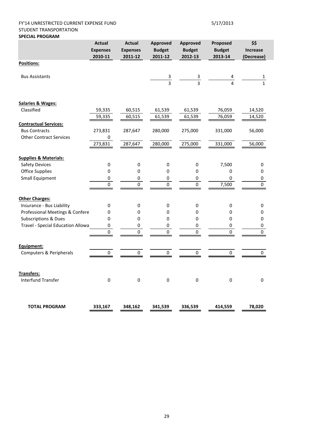### FY'14 UNRESTRICTED CURRENT EXPENSE FUND 5/17/2013 STUDENT TRANSPORTATION **SPECIAL PROGRAM**

|                                   | <b>Actual</b><br><b>Expenses</b><br>2010-11 | <b>Actual</b><br><b>Expenses</b><br>2011-12 | Approved<br><b>Budget</b><br>2011-12 | Approved<br><b>Budget</b><br>2012-13 | Proposed<br><b>Budget</b><br>2013-14 | \$\$<br><b>Increase</b><br>(Decrease) |
|-----------------------------------|---------------------------------------------|---------------------------------------------|--------------------------------------|--------------------------------------|--------------------------------------|---------------------------------------|
| Positions:                        |                                             |                                             |                                      |                                      |                                      |                                       |
| <b>Bus Assistants</b>             |                                             |                                             | $\frac{3}{3}$                        | $\frac{3}{3}$                        | $\overline{\mathbf{A}}$              | $\mathbf{1}$                          |
| <b>Salaries &amp; Wages:</b>      |                                             |                                             |                                      |                                      |                                      |                                       |
| Classified                        | 59,335                                      | 60,515                                      | 61,539                               | 61,539                               | 76,059                               | 14,520                                |
|                                   | 59,335                                      | 60,515                                      | 61,539                               | 61,539                               | 76,059                               | 14,520                                |
| <b>Contractual Services:</b>      |                                             |                                             |                                      |                                      |                                      |                                       |
| <b>Bus Contracts</b>              | 273,831                                     | 287,647                                     | 280,000                              | 275,000                              | 331,000                              | 56,000                                |
| <b>Other Contract Services</b>    | $\pmb{0}$<br>273,831                        | 287,647                                     | 280,000                              | 275,000                              | 331,000                              | 56,000                                |
| <b>Supplies &amp; Materials:</b>  |                                             |                                             |                                      |                                      |                                      |                                       |
| <b>Safety Devices</b>             | $\pmb{0}$                                   | 0                                           | 0                                    | $\pmb{0}$                            | 7,500                                | 0                                     |
| <b>Office Supplies</b>            | $\pmb{0}$                                   | $\pmb{0}$                                   | $\boldsymbol{0}$                     | 0                                    | 0                                    | 0                                     |
| <b>Small Equipment</b>            | 0<br>0                                      | $\pmb{0}$<br>0                              | 0<br>0                               | $\pmb{0}$<br>0                       | $\mathbf 0$<br>7,500                 | 0<br>$\pmb{0}$                        |
| <b>Other Charges:</b>             |                                             |                                             |                                      |                                      |                                      |                                       |
| Insurance - Bus Liability         | 0                                           | 0                                           | $\pmb{0}$                            | 0                                    | $\pmb{0}$                            | 0                                     |
| Professional Meetings & Confere   | 0                                           | 0                                           | 0                                    | 0                                    | 0                                    | 0                                     |
| Subscriptions & Dues              | 0                                           | 0                                           | 0                                    | 0                                    | 0                                    | 0                                     |
| Travel - Special Education Allowa | 0                                           | 0                                           | $\pmb{0}$                            | 0                                    | 0                                    | $\pmb{0}$                             |
|                                   | $\Omega$                                    | $\Omega$                                    | 0                                    | $\Omega$                             | $\Omega$                             | $\overline{0}$                        |
| Equipment:                        |                                             |                                             |                                      |                                      |                                      |                                       |
| Computers & Peripherals           | 0                                           | 0                                           | 0                                    | 0                                    | 0                                    | 0                                     |
| Transfers:                        |                                             |                                             |                                      |                                      |                                      |                                       |
| <b>Interfund Transfer</b>         | $\pmb{0}$                                   | $\pmb{0}$                                   | $\pmb{0}$                            | $\pmb{0}$                            | $\pmb{0}$                            | $\pmb{0}$                             |
|                                   |                                             |                                             |                                      |                                      |                                      |                                       |
| <b>TOTAL PROGRAM</b>              | 333,167                                     | 348,162                                     | 341,539                              | 336,539                              | 414,559                              | 78,020                                |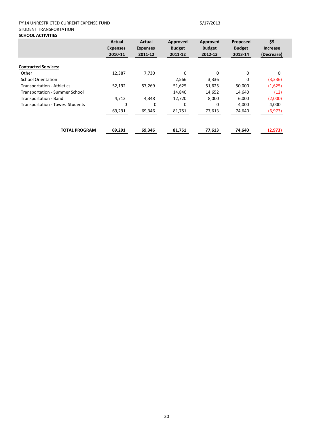### FY'14 UNRESTRICTED CURRENT EXPENSE FUND 5/17/2013 STUDENT TRANSPORTATION **SCHOOL ACTIVITIES**

|                                       | <b>Actual</b>   | Actual          | Approved      | Approved      | Proposed      | \$\$            |
|---------------------------------------|-----------------|-----------------|---------------|---------------|---------------|-----------------|
|                                       | <b>Expenses</b> | <b>Expenses</b> | <b>Budget</b> | <b>Budget</b> | <b>Budget</b> | <b>Increase</b> |
|                                       | 2010-11         | 2011-12         | 2011-12       | 2012-13       | 2013-14       | (Decrease)      |
|                                       |                 |                 |               |               |               |                 |
| <b>Contracted Services:</b>           |                 |                 |               |               |               |                 |
| Other                                 | 12,387          | 7,730           | $\Omega$      | $\Omega$      | 0             | 0               |
| <b>School Orientation</b>             |                 |                 | 2,566         | 3,336         | 0             | (3, 336)        |
| <b>Transportation - Athletics</b>     | 52,192          | 57,269          | 51,625        | 51,625        | 50,000        | (1,625)         |
| <b>Transportation - Summer School</b> |                 |                 | 14,840        | 14,652        | 14,640        | (12)            |
| Transportation - Band                 | 4,712           | 4,348           | 12,720        | 8,000         | 6,000         | (2,000)         |
| Transportation - Tawes Students       | 0               |                 | $\Omega$      | <sup>0</sup>  | 4,000         | 4,000           |
|                                       | 69,291          | 69,346          | 81,751        | 77,613        | 74,640        | (6, 973)        |
|                                       |                 |                 |               |               |               |                 |
| <b>TOTAL PROGRAM</b>                  | 69,291          | 69,346          | 81,751        | 77,613        | 74,640        | (2,973)         |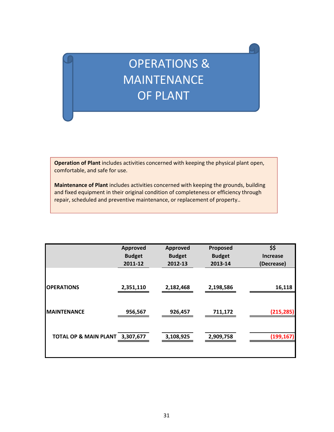# OPERATIONS & MAINTENANCE OF PLANT

**Operation of Plant** includes activities concerned with keeping the physical plant open, comfortable, and safe for use.

**Maintenance of Plant** includes activities concerned with keeping the grounds, building and fixed equipment in their original condition of completeness or efficiency through repair, scheduled and preventive maintenance, or replacement of property..

|                                 | <b>Approved</b><br><b>Budget</b><br>2011-12 | <b>Approved</b><br><b>Budget</b><br>2012-13 | Proposed<br><b>Budget</b><br>2013-14 | \$\$<br><b>Increase</b><br>(Decrease) |
|---------------------------------|---------------------------------------------|---------------------------------------------|--------------------------------------|---------------------------------------|
| <b>OPERATIONS</b>               | 2,351,110                                   | 2,182,468                                   | 2,198,586                            | 16,118                                |
| <b>MAINTENANCE</b>              | 956,567                                     | 926,457                                     | 711,172                              | (215, 285)                            |
| TOTAL OP & MAIN PLANT 3,307,677 |                                             | 3,108,925                                   | 2,909,758                            | (199, 167)                            |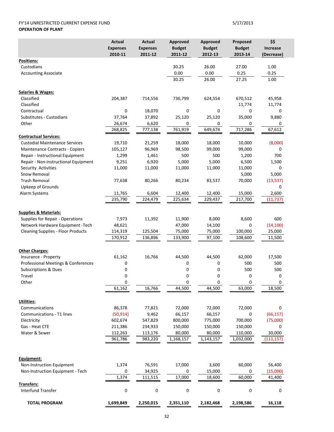### FY'14 UNRESTRICTED CURRENT EXPENSE FUND 5/17/2013 **OPERATION OF PLANT**

|                                                                       | <b>Actual</b><br><b>Expenses</b><br>2010-11 | <b>Actual</b><br><b>Expenses</b><br>2011-12 | Approved<br><b>Budget</b><br>2011-12 | <b>Approved</b><br><b>Budget</b><br>2012-13 | Proposed<br><b>Budget</b><br>2013-14 | \$\$<br>Increase<br>(Decrease) |
|-----------------------------------------------------------------------|---------------------------------------------|---------------------------------------------|--------------------------------------|---------------------------------------------|--------------------------------------|--------------------------------|
| Positions:                                                            |                                             |                                             |                                      |                                             |                                      |                                |
| Custodians                                                            |                                             |                                             | 30.25                                | 26.00                                       | 27.00                                | 1.00                           |
| <b>Accounting Associate</b>                                           |                                             |                                             | 0.00                                 | 0.00                                        | 0.25                                 | 0.25                           |
|                                                                       |                                             |                                             | 30.25                                | 26.00                                       | 27.25                                | 1.00                           |
| <b>Salaries &amp; Wages:</b>                                          |                                             |                                             |                                      |                                             |                                      |                                |
| Classified                                                            | 204,387                                     | 714,556                                     | 736,799                              | 624,554                                     | 670,512                              | 45,958                         |
| Classified                                                            |                                             |                                             |                                      |                                             | 11,774                               | 11,774                         |
| Contractual                                                           | 0                                           | 18,070                                      | 0                                    | 0                                           | 0                                    | 0                              |
| Substitutes - Custodians                                              | 37,764                                      | 37,892                                      | 25,120                               | 25,120                                      | 35,000                               | 9,880                          |
| Other                                                                 | 26,674                                      | 6,620                                       | 0<br>761,919                         | 0<br>649,674                                | 0<br>717,286                         | 0<br>67,612                    |
|                                                                       | 268,825                                     | 777,138                                     |                                      |                                             |                                      |                                |
| <b>Contractual Services:</b><br><b>Custodial Maintenance Services</b> | 19,710                                      | 21,259                                      | 18,000                               | 18,000                                      | 10,000                               | (8,000)                        |
| Maintenance Contracts - Copiers                                       | 105,127                                     | 96,969                                      | 98,500                               | 99,000                                      | 99,000                               | 0                              |
| Repair - Instructional Equipment                                      | 1,299                                       | 1,461                                       | 500                                  | 500                                         | 1,200                                | 700                            |
| Repair - Non-instructional Equipment                                  | 9,251                                       | 6,920                                       | 5,000                                | 5,000                                       | 6,500                                | 1,500                          |
| Security Activities                                                   | 11,000                                      | 11,000                                      | 11,000                               | 11,000                                      | 11,000                               | 0                              |
| Snow Removal                                                          |                                             |                                             |                                      |                                             | 5,000                                | 5,000                          |
| <b>Trash Removal</b>                                                  | 77,638                                      | 80,266                                      | 80,234                               | 83,537                                      | 70,000                               | (13, 537)                      |
| Upkeep of Grounds                                                     |                                             |                                             |                                      |                                             |                                      | 0                              |
| Alarm Systems                                                         | 11,765                                      | 6,604                                       | 12,400                               | 12,400                                      | 15,000                               | 2,600                          |
|                                                                       | 235,790                                     | 224,479                                     | 225,634                              | 229,437                                     | 217,700                              | (11, 737)                      |
| <b>Supplies &amp; Materials:</b>                                      |                                             |                                             |                                      |                                             |                                      |                                |
| Supplies for Repair - Operations                                      | 7,973                                       | 11,392                                      | 11,900                               | 8,000                                       | 8,600                                | 600                            |
| Network Hardware Equipment -Tech                                      | 48,621                                      |                                             | 47,000                               | 14,100                                      | 0                                    | (14, 100)                      |
| <b>Cleaning Supplies - Floor Products</b>                             | 114,319                                     | 125,504                                     | 75,000                               | 75,000                                      | 100,000                              | 25,000                         |
|                                                                       | 170,912                                     | 136,896                                     | 133,900                              | 97,100                                      | 108,600                              | 11,500                         |
|                                                                       |                                             |                                             |                                      |                                             |                                      |                                |
| <b>Other Charges:</b><br>Insurance - Property                         | 61,162                                      | 16,766                                      | 44,500                               | 44,500                                      | 62,000                               | 17,500                         |
| Professional Meetings & Conferences                                   | 0                                           |                                             | 0                                    | 0                                           | 500                                  | 500                            |
| <b>Subscriptions &amp; Dues</b>                                       | 0                                           |                                             | 0                                    | 0                                           | 500                                  | 500                            |
| Travel                                                                | 0                                           |                                             | 0                                    | 0                                           | 0                                    | 0                              |
| Other                                                                 | 0                                           |                                             | 0                                    | 0                                           | 0                                    | 0                              |
|                                                                       | 61,162                                      | 16,766                                      | 44,500                               | 44,500                                      | 63,000                               | 18,500                         |
|                                                                       |                                             |                                             |                                      |                                             |                                      |                                |
| Utilities:                                                            |                                             |                                             |                                      |                                             |                                      |                                |
| Communications                                                        | 86,378                                      | 77,821                                      | 72,000                               | 72,000                                      | 72,000                               | 0                              |
| Communications - T1 lines                                             | (50, 914)                                   | 9,462                                       | 66,157                               | 66,157                                      | 0                                    | (66, 157)                      |
| Electricity<br>Gas - Heat CTE                                         | 602,674                                     | 547,829                                     | 800,000                              | 775,000                                     | 700,000<br>150,000                   | (75,000)                       |
| Water & Sewer                                                         | 211,386<br>112,263                          | 234,933<br>113,176                          | 150,000<br>80,000                    | 150,000<br>80,000                           | 110,000                              | 0<br>30,000                    |
|                                                                       | 961,786                                     | 983,220                                     | 1,168,157                            | 1,143,157                                   | 1,032,000                            | (111, 157)                     |
|                                                                       |                                             |                                             |                                      |                                             |                                      |                                |
| Equipment:                                                            |                                             |                                             |                                      |                                             |                                      |                                |
| Non-Instruction Equipment                                             | 1,374                                       | 76,591                                      | 17,000                               | 3,600                                       | 60,000                               | 56,400                         |
| Non-Instruction Equipment - Tech                                      | 0<br>1,374                                  | 34,925                                      | 0                                    | 15,000                                      | 0                                    | (15,000)                       |
|                                                                       |                                             | 111,515                                     | 17,000                               | 18,600                                      | 60,000                               | 41,400                         |
| Transfers:<br><b>Interfund Transfer</b>                               | 0                                           | 0                                           | 0                                    | 0                                           | 0                                    | 0                              |
| <b>TOTAL PROGRAM</b>                                                  | 1,699,849                                   | 2,250,015                                   | 2,351,110                            | 2,182,468                                   | 2,198,586                            | 16,118                         |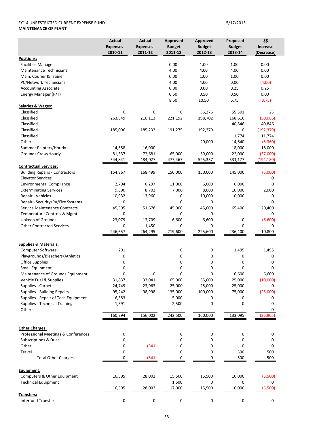### FY'14 UNRESTRICTED CURRENT EXPENSE FUND 5/17/2013 **MAINTENANCE OF PLANT**

|                                       | <b>Actual</b><br><b>Expenses</b> | Actual<br><b>Expenses</b> | Approved<br><b>Budget</b> | Approved<br><b>Budget</b> | Proposed<br><b>Budget</b> | \$\$<br><b>Increase</b> |
|---------------------------------------|----------------------------------|---------------------------|---------------------------|---------------------------|---------------------------|-------------------------|
|                                       | 2010-11                          | 2011-12                   | 2011-12                   | 2012-13                   | 2013-14                   | (Decrease)              |
| <b>Positions:</b>                     |                                  |                           |                           |                           |                           |                         |
| <b>Facilities Manager</b>             |                                  |                           | 0.00                      | 1.00                      | 1.00                      | 0.00                    |
| <b>Maintenance Technicians</b>        |                                  |                           | 4.00                      | 4.00                      | 4.00                      | 0.00                    |
| Main. Courier & Trainer               |                                  |                           | 0.00                      | 1.00                      | 1.00                      | 0.00                    |
| PC/Network Technicians                |                                  |                           | 4.00                      | 4.00                      | 0.00                      | (4.00)                  |
| <b>Accounting Associate</b>           |                                  |                           | 0.00                      | 0.00                      | 0.25                      | 0.25                    |
| Energy Manager (P/T)                  |                                  |                           | 0.50                      | 0.50                      | 0.50                      | 0.00                    |
|                                       |                                  |                           | 8.50                      | 10.50                     | 6.75                      | (3.75)                  |
| <b>Salaries &amp; Wages:</b>          |                                  |                           |                           |                           |                           |                         |
| Classified                            | 0                                | 0                         | 0                         | 55,276                    | 55,301                    | 25                      |
| Classified                            | 263,849                          | 210,113                   | 221,192                   | 198,702                   | 168,616                   | (30,086)                |
| Classified                            |                                  |                           |                           |                           | 40,846                    | 40,846                  |
| Classified                            | 185,096                          | 185,233                   | 191,275                   | 192,379                   | 0                         | (192, 379)              |
| Classified                            |                                  |                           |                           |                           | 11,774                    | 11,774                  |
| Other                                 |                                  |                           |                           | 20,000                    | 14,640                    | (5,360)                 |
| Summer Painters/Hourly                | 14,558                           | 16,000                    |                           |                           | 18,000                    | 18,000                  |
| Grounds Crew/Hourly                   | 81,337                           | 72,681                    | 65,000                    | 59,000                    | 22,000                    | (37,000)                |
|                                       | 544,841                          | 484,027                   | 477,467                   | 525,357                   | 331,177                   | (194,180)               |
| <b>Contractual Services:</b>          |                                  |                           |                           |                           |                           |                         |
| <b>Building Repairs - Contractors</b> | 154,867                          | 168,499                   | 150,000                   | 150,000                   | 145,000                   | (5,000)                 |
| <b>Elevator Services</b>              |                                  |                           |                           |                           |                           | 0                       |
| <b>Environmental Compliance</b>       | 2,794                            | 6,297                     | 11,000                    | 6,000                     | 6,000                     | 0                       |
| <b>Exterminating Services</b>         | 9,390                            | 8,702                     | 7,000                     | 8,000                     | 10,000                    | 2,000                   |
| Repair - Vehicles                     | 10,932                           | 13,960                    | 0                         | 10,000                    | 10,000                    | 0                       |
| Repair - Security/PA/Fire Systems     | 0                                |                           | 0                         | 0                         |                           | 0                       |
| Service Maintenance Contracts         | 45,595                           | 51,678                    | 45,000                    | 45,000                    | 65,400                    | 20,400                  |
| Temperature Controls & Mgmt           | 0                                |                           | 0                         | 0                         |                           | 0                       |
| Upkeep of Grounds                     | 23,079                           | 13,709                    | 6,600                     | 6,600                     | 0                         | (6,600)                 |
| <b>Other Contracted Services</b>      | 0                                | 1,450                     | 0                         | 0                         | 0                         | 0                       |
|                                       | 246,657                          | 264,295                   | 219,600                   | 225,600                   | 236,400                   | 10,800                  |
| <b>Supplies &amp; Materials:</b>      |                                  |                           |                           |                           |                           |                         |
| <b>Computer Software</b>              | 291                              |                           | 0                         | 0                         | 1,495                     | 1,495                   |
| Playgrounds/Bleachers/Athletics       | 0                                |                           | 0                         | 0                         | 0                         | 0                       |
| <b>Office Supplies</b>                | 0                                |                           | 0                         | 0                         | 0                         | 0                       |
| Small Equipment                       | 0                                |                           | 0                         | 0                         | 0                         | 0                       |
| Maintenance of Grounds Equipment      | 0                                | 0                         | 0                         | 0                         | 6,600                     | 6,600                   |
| Vehicle Fuel & Supplies               | 31,837                           | 33,041                    | 65,000                    | 35,000                    | 25,000                    | (10,000)                |
| Supplies - Carpet                     | 24,749                           | 23,963                    | 25,000                    | 25,000                    | 25,000                    | 0                       |
| Supplies - Building Repairs           | 95,242                           | 98,998                    | 135,000                   | 100,000                   | 75,000                    | (25,000)                |
| Supplies - Repair of Tech Equipment   | 6,583                            |                           | 15,000                    | 0                         | 0                         | 0                       |
| <b>Supplies - Technical Training</b>  | 1,591                            |                           | 2,500                     | 0                         | 0                         | 0                       |
| Other                                 |                                  |                           |                           |                           |                           | 0                       |
|                                       | 160,294                          | 156,002                   | 242,500                   | 160,000                   | 133,095                   | (26, 905)               |
| <b>Other Charges:</b>                 |                                  |                           |                           |                           |                           |                         |
| Professional Meetings & Conferences   | 0                                |                           | 0                         | 0                         | 0                         | 0                       |
| <b>Subscriptions &amp; Dues</b>       | 0                                |                           | 0                         | 0                         | 0                         | 0                       |
| Other                                 | 0                                | (541)                     | 0                         | 0                         | 0                         | 0                       |
| Travel                                | 0                                |                           | 0                         | 0                         | 500                       | 500                     |
| <b>Total Other Charges</b>            | 0                                | (541)                     | 0                         | $\mathbf 0$               | 500                       | 500                     |
|                                       |                                  |                           |                           |                           |                           |                         |
| Equipment:                            |                                  |                           |                           |                           |                           |                         |
| Computers & Other Equipment           | 16,595                           | 28,002                    | 15,500                    | 15,500                    | 10,000                    | (5,500)                 |
| <b>Technical Equipment</b>            |                                  |                           | 1,500                     | 0                         | 0                         | 0                       |
|                                       | 16,595                           | 28,002                    | 17,000                    | 15,500                    | 10,000                    | (5,500)                 |
| Transfers:                            |                                  |                           |                           |                           |                           |                         |
| Interfund Transfer                    | 0                                | 0                         | 0                         | $\pmb{0}$                 | 0                         | 0                       |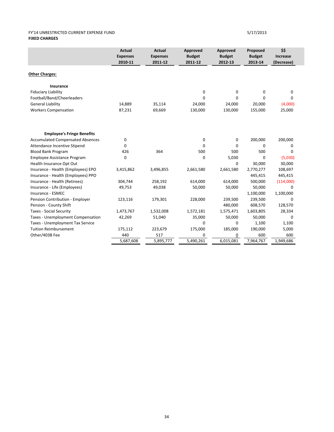### FY'14 UNRESTRICTED CURRENT EXPENSE FUND 5/17/2013 **FIXED CHARGES**

|                                         | <b>Actual</b><br><b>Expenses</b><br>2010-11 | <b>Actual</b><br><b>Expenses</b><br>2011-12 | Approved<br><b>Budget</b><br>2011-12 | Approved<br><b>Budget</b><br>2012-13 | Proposed<br><b>Budget</b><br>2013-14 | \$\$<br>Increase<br>(Decrease) |
|-----------------------------------------|---------------------------------------------|---------------------------------------------|--------------------------------------|--------------------------------------|--------------------------------------|--------------------------------|
| <b>Other Charges:</b>                   |                                             |                                             |                                      |                                      |                                      |                                |
| <b>Insurance</b>                        |                                             |                                             |                                      |                                      |                                      |                                |
| <b>Fiduciary Liability</b>              |                                             |                                             | 0                                    | 0                                    | $\mathbf 0$                          | $\mathbf 0$                    |
| Football/Band/Cheerleaders              |                                             |                                             | $\Omega$                             | 0                                    | $\Omega$                             | $\Omega$                       |
| <b>General Liability</b>                | 14,889                                      | 35,114                                      | 24,000                               | 24,000                               | 20,000                               | (4,000)                        |
| <b>Workers Compensation</b>             | 87,231                                      | 69,669                                      | 130,000                              | 130,000                              | 155,000                              | 25,000                         |
| <b>Employee's Fringe Benefits</b>       |                                             |                                             |                                      |                                      |                                      |                                |
| <b>Accumulated Compensated Absences</b> | 0                                           |                                             | 0                                    | 0                                    | 200,000                              | 200,000                        |
| Attendance Incentive Stipend            | 0                                           |                                             | 0                                    | $\Omega$                             | 0                                    | 0                              |
| <b>Blood Bank Program</b>               | 426                                         | 364                                         | 500                                  | 500                                  | 500                                  | $\mathbf 0$                    |
| Employee Assistance Program             | 0                                           |                                             | 0                                    | 5,030                                | $\Omega$                             | (5,030)                        |
| Health Insurance Opt Out                |                                             |                                             |                                      | 0                                    | 30,000                               | 30,000                         |
| Insurance - Health (Employees) EPO      | 3,415,862                                   | 3,496,855                                   | 2,661,580                            | 2,661,580                            | 2,770,277                            | 108,697                        |
| Insurance - Health (Employees) PPO      |                                             |                                             |                                      |                                      | 445,415                              | 445,415                        |
| Insurance - Health (Retirees)           | 304,744                                     | 258,192                                     | 614,000                              | 614,000                              | 500,000                              | (114,000)                      |
| Insurance - Life (Employees)            | 49,753                                      | 49,038                                      | 50,000                               | 50,000                               | 50,000                               | 0                              |
| Insurance - ESMEC                       |                                             |                                             |                                      |                                      | 1,100,000                            | 1,100,000                      |
| Pension Contribution - Employer         | 123,116                                     | 179,301                                     | 228,000                              | 239,500                              | 239,500                              | 0                              |
| Pension - County Shift                  |                                             |                                             |                                      | 480,000                              | 608,570                              | 128,570                        |
| <b>Taxes - Social Security</b>          | 1,473,767                                   | 1,532,008                                   | 1,572,181                            | 1,575,471                            | 1,603,805                            | 28,334                         |
| Taxes - Unemployment Compensation       | 42,269                                      | 51,040                                      | 35,000                               | 50,000                               | 50,000                               | $\Omega$                       |
| Taxes - Unemployment Tax Service        |                                             |                                             | 0                                    | 0                                    | 1,100                                | 1,100                          |
| <b>Tuition Reimbursement</b>            | 175,112                                     | 223,679                                     | 175,000                              | 185,000                              | 190,000                              | 5,000                          |
| Other/403B Fee                          | 440                                         | 517                                         | 0                                    | 0                                    | 600                                  | 600                            |
|                                         | 5,687,608                                   | 5,895,777                                   | 5.490.261                            | 6,015,081                            | 7,964,767                            | 1,949,686                      |